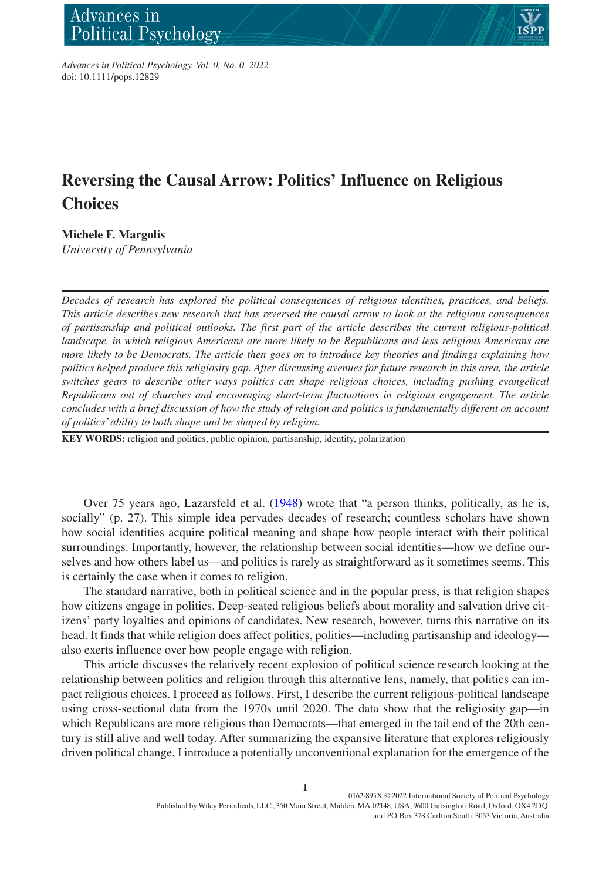

*Advances in Political Psychology, Vol. 0, No. 0, 2022* doi: 10.1111/pops.12829

# **Reversing the Causal Arrow: Politics' Influence on Religious Choices**

**Michele F. Margolis**

*University of Pennsylvania*

*Decades of research has explored the political consequences of religious identities, practices, and beliefs. This article describes new research that has reversed the causal arrow to look at the religious consequences of partisanship and political outlooks. The first part of the article describes the current religious-political landscape, in which religious Americans are more likely to be Republicans and less religious Americans are more likely to be Democrats. The article then goes on to introduce key theories and findings explaining how politics helped produce this religiosity gap. After discussing avenues for future research in this area, the article switches gears to describe other ways politics can shape religious choices, including pushing evangelical Republicans out of churches and encouraging short-term fluctuations in religious engagement. The article concludes with a brief discussion of how the study of religion and politics is fundamentally different on account of politics' ability to both shape and be shaped by religion.*

**KEY WORDS:** religion and politics, public opinion, partisanship, identity, polarization

Over 75 years ago, Lazarsfeld et al. [\(1948](#page-27-0)) wrote that "a person thinks, politically, as he is, socially" (p. 27). This simple idea pervades decades of research; countless scholars have shown how social identities acquire political meaning and shape how people interact with their political surroundings. Importantly, however, the relationship between social identities—how we define ourselves and how others label us—and politics is rarely as straightforward as it sometimes seems. This is certainly the case when it comes to religion.

The standard narrative, both in political science and in the popular press, is that religion shapes how citizens engage in politics. Deep-seated religious beliefs about morality and salvation drive citizens' party loyalties and opinions of candidates. New research, however, turns this narrative on its head. It finds that while religion does affect politics, politics—including partisanship and ideology also exerts influence over how people engage with religion.

This article discusses the relatively recent explosion of political science research looking at the relationship between politics and religion through this alternative lens, namely, that politics can impact religious choices. I proceed as follows. First, I describe the current religious-political landscape using cross-sectional data from the 1970s until 2020. The data show that the religiosity gap—in which Republicans are more religious than Democrats—that emerged in the tail end of the 20th century is still alive and well today. After summarizing the expansive literature that explores religiously driven political change, I introduce a potentially unconventional explanation for the emergence of the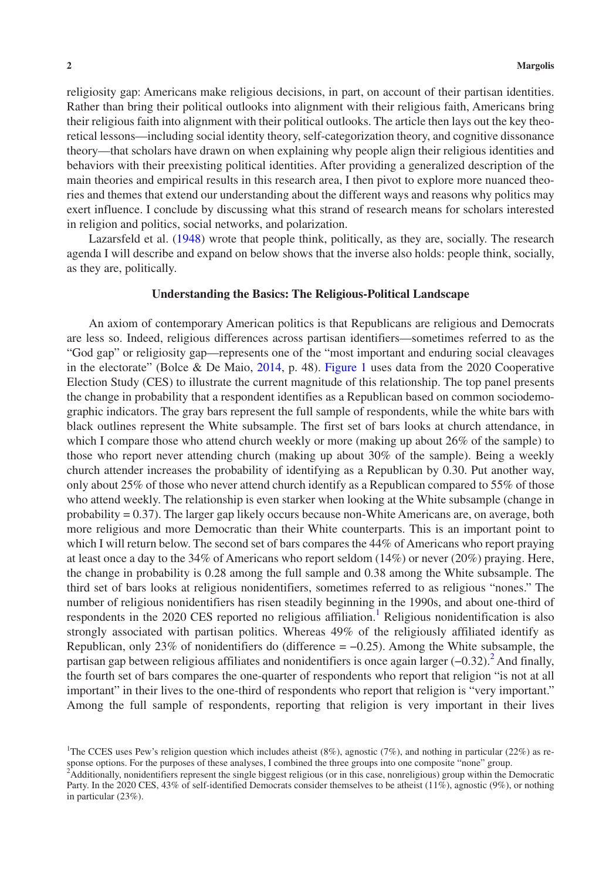religiosity gap: Americans make religious decisions, in part, on account of their partisan identities. Rather than bring their political outlooks into alignment with their religious faith, Americans bring their religious faith into alignment with their political outlooks. The article then lays out the key theoretical lessons—including social identity theory, self-categorization theory, and cognitive dissonance theory—that scholars have drawn on when explaining why people align their religious identities and behaviors with their preexisting political identities. After providing a generalized description of the main theories and empirical results in this research area, I then pivot to explore more nuanced theories and themes that extend our understanding about the different ways and reasons why politics may exert influence. I conclude by discussing what this strand of research means for scholars interested in religion and politics, social networks, and polarization.

Lazarsfeld et al. [\(1948](#page-27-0)) wrote that people think, politically, as they are, socially. The research agenda I will describe and expand on below shows that the inverse also holds: people think, socially, as they are, politically.

## **Understanding the Basics: The Religious-Political Landscape**

An axiom of contemporary American politics is that Republicans are religious and Democrats are less so. Indeed, religious differences across partisan identifiers—sometimes referred to as the "God gap" or religiosity gap—represents one of the "most important and enduring social cleavages in the electorate" (Bolce & De Maio, [2014](#page-25-0), p. 48). Figure [1](#page-2-0) uses data from the 2020 Cooperative Election Study (CES) to illustrate the current magnitude of this relationship. The top panel presents the change in probability that a respondent identifies as a Republican based on common sociodemographic indicators. The gray bars represent the full sample of respondents, while the white bars with black outlines represent the White subsample. The first set of bars looks at church attendance, in which I compare those who attend church weekly or more (making up about 26% of the sample) to those who report never attending church (making up about 30% of the sample). Being a weekly church attender increases the probability of identifying as a Republican by 0.30. Put another way, only about 25% of those who never attend church identify as a Republican compared to 55% of those who attend weekly. The relationship is even starker when looking at the White subsample (change in probability = 0.37). The larger gap likely occurs because non-White Americans are, on average, both more religious and more Democratic than their White counterparts. This is an important point to which I will return below. The second set of bars compares the 44% of Americans who report praying at least once a day to the 34% of Americans who report seldom (14%) or never (20%) praying. Here, the change in probability is 0.28 among the full sample and 0.38 among the White subsample. The third set of bars looks at religious nonidentifiers, sometimes referred to as religious "nones." The number of religious nonidentifiers has risen steadily beginning in the 1990s, and about one-third of respondents in the 2020 CES reported no religious affiliation.<sup>1</sup> Religious nonidentification is also strongly associated with partisan politics. Whereas 49% of the religiously affiliated identify as Republican, only 23% of nonidentifiers do (difference  $= -0.25$ ). Among the White subsample, the partisan gap between religious affiliates and nonidentifiers is once again larger (–0.32).<sup>2</sup> And finally, the fourth set of bars compares the one-quarter of respondents who report that religion "is not at all important" in their lives to the one-third of respondents who report that religion is "very important." Among the full sample of respondents, reporting that religion is very important in their lives

<span id="page-1-0"></span><sup>&</sup>lt;sup>1</sup>The CCES uses Pew's religion question which includes atheist (8%), agnostic (7%), and nothing in particular (22%) as response options. For the purposes of these analyses, I combined the three groups into one composite "none" group.

<span id="page-1-1"></span><sup>&</sup>lt;sup>2</sup>Additionally, nonidentifiers represent the single biggest religious (or in this case, nonreligious) group within the Democratic Party. In the 2020 CES, 43% of self-identified Democrats consider themselves to be atheist (11%), agnostic (9%), or nothing in particular (23%).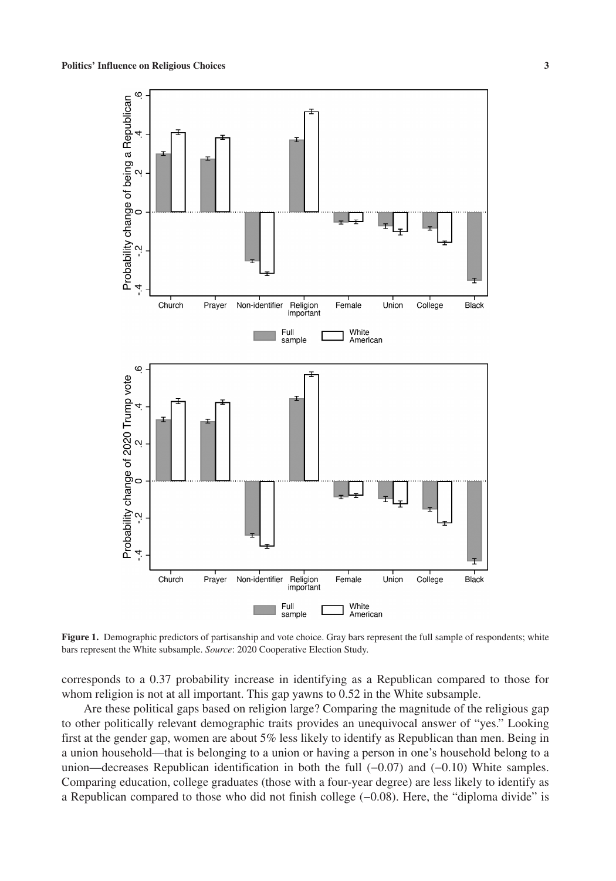

<span id="page-2-0"></span>**Figure 1.** Demographic predictors of partisanship and vote choice. Gray bars represent the full sample of respondents; white bars represent the White subsample. *Source*: 2020 Cooperative Election Study.

corresponds to a 0.37 probability increase in identifying as a Republican compared to those for whom religion is not at all important. This gap yawns to 0.52 in the White subsample.

Are these political gaps based on religion large? Comparing the magnitude of the religious gap to other politically relevant demographic traits provides an unequivocal answer of "yes." Looking first at the gender gap, women are about 5% less likely to identify as Republican than men. Being in a union household—that is belonging to a union or having a person in one's household belong to a union—decreases Republican identification in both the full (−0.07) and (−0.10) White samples. Comparing education, college graduates (those with a four-year degree) are less likely to identify as a Republican compared to those who did not finish college (−0.08). Here, the "diploma divide" is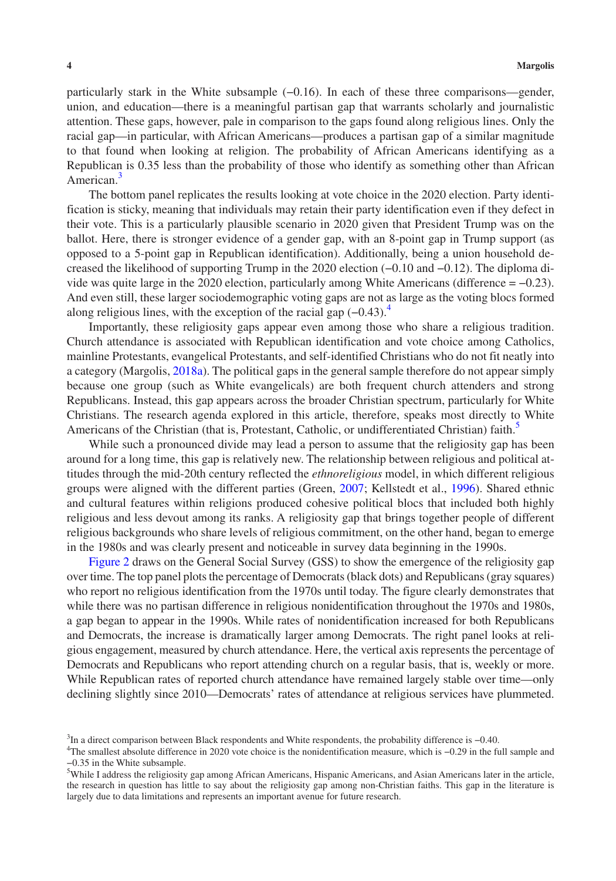particularly stark in the White subsample (−0.16). In each of these three comparisons—gender, union, and education—there is a meaningful partisan gap that warrants scholarly and journalistic attention. These gaps, however, pale in comparison to the gaps found along religious lines. Only the racial gap—in particular, with African Americans—produces a partisan gap of a similar magnitude to that found when looking at religion. The probability of African Americans identifying as a Republican is 0.35 less than the probability of those who identify as something other than African American.<sup>[3](#page-3-0)</sup>

The bottom panel replicates the results looking at vote choice in the 2020 election. Party identification is sticky, meaning that individuals may retain their party identification even if they defect in their vote. This is a particularly plausible scenario in 2020 given that President Trump was on the ballot. Here, there is stronger evidence of a gender gap, with an 8-point gap in Trump support (as opposed to a 5-point gap in Republican identification). Additionally, being a union household decreased the likelihood of supporting Trump in the 2020 election (−0.10 and −0.12). The diploma divide was quite large in the 2020 election, particularly among White Americans (difference = −0.23). And even still, these larger sociodemographic voting gaps are not as large as the voting blocs formed along religious lines, with the exception of the racial gap  $(-0.43)$  $(-0.43)$  $(-0.43)$ .<sup>4</sup>

Importantly, these religiosity gaps appear even among those who share a religious tradition. Church attendance is associated with Republican identification and vote choice among Catholics, mainline Protestants, evangelical Protestants, and self-identified Christians who do not fit neatly into a category (Margolis, [2018a\)](#page-27-1). The political gaps in the general sample therefore do not appear simply because one group (such as White evangelicals) are both frequent church attenders and strong Republicans. Instead, this gap appears across the broader Christian spectrum, particularly for White Christians. The research agenda explored in this article, therefore, speaks most directly to White Americans of the Christian (that is, Protestant, Catholic, or undifferentiated Christian) faith.<sup>3</sup>

While such a pronounced divide may lead a person to assume that the religiosity gap has been around for a long time, this gap is relatively new. The relationship between religious and political attitudes through the mid-20th century reflected the *ethnoreligious* model, in which different religious groups were aligned with the different parties (Green, [2007;](#page-26-0) Kellstedt et al., [1996\)](#page-27-2). Shared ethnic and cultural features within religions produced cohesive political blocs that included both highly religious and less devout among its ranks. A religiosity gap that brings together people of different religious backgrounds who share levels of religious commitment, on the other hand, began to emerge in the 1980s and was clearly present and noticeable in survey data beginning in the 1990s.

Figure [2](#page-4-0) draws on the General Social Survey (GSS) to show the emergence of the religiosity gap over time. The top panel plots the percentage of Democrats (black dots) and Republicans (gray squares) who report no religious identification from the 1970s until today. The figure clearly demonstrates that while there was no partisan difference in religious nonidentification throughout the 1970s and 1980s, a gap began to appear in the 1990s. While rates of nonidentification increased for both Republicans and Democrats, the increase is dramatically larger among Democrats. The right panel looks at religious engagement, measured by church attendance. Here, the vertical axis represents the percentage of Democrats and Republicans who report attending church on a regular basis, that is, weekly or more. While Republican rates of reported church attendance have remained largely stable over time—only declining slightly since 2010—Democrats' rates of attendance at religious services have plummeted.

<span id="page-3-0"></span><sup>&</sup>lt;sup>3</sup>In a direct comparison between Black respondents and White respondents, the probability difference is –0.40.

<span id="page-3-1"></span><sup>4</sup> The smallest absolute difference in 2020 vote choice is the nonidentification measure, which is −0.29 in the full sample and −0.35 in the White subsample.

<span id="page-3-2"></span><sup>&</sup>lt;sup>5</sup>While I address the religiosity gap among African Americans, Hispanic Americans, and Asian Americans later in the article, the research in question has little to say about the religiosity gap among non-Christian faiths. This gap in the literature is largely due to data limitations and represents an important avenue for future research.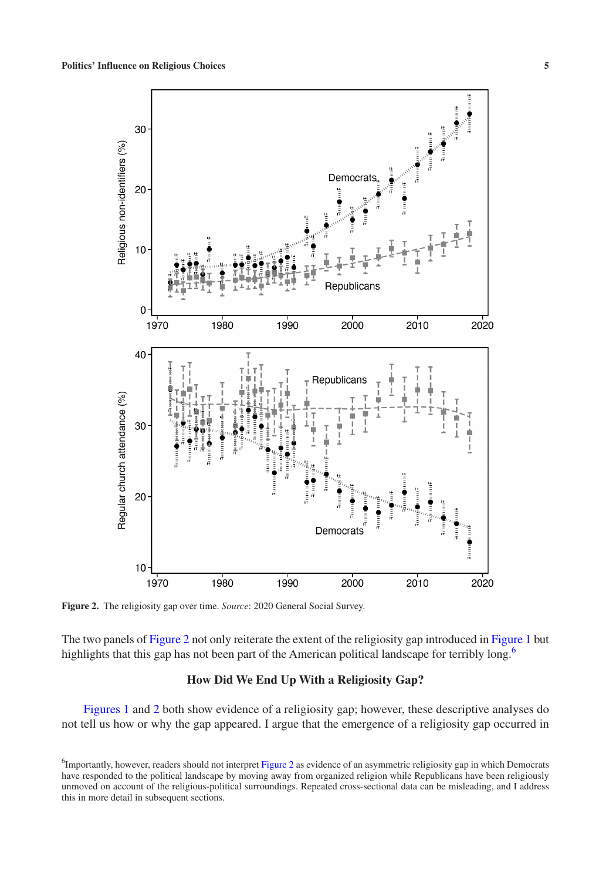

<span id="page-4-0"></span>**Figure 2.** The religiosity gap over time. *Source*: 2020 General Social Survey.

The two panels of Figure [2](#page-4-0) not only reiterate the extent of the religiosity gap introduced in Figure [1](#page-2-0) but highlights that this gap has not been part of the American political landscape for terribly long.<sup>[6](#page-4-1)</sup>

# **How Did We End Up With a Religiosity Gap?**

Figures [1](#page-2-0) and [2](#page-4-0) both show evidence of a religiosity gap; however, these descriptive analyses do not tell us how or why the gap appeared. I argue that the emergence of a religiosity gap occurred in

<span id="page-4-1"></span><sup>&</sup>lt;sup>6</sup>Importantly, however, readers should not interpret Figure [2](#page-4-0) as evidence of an asymmetric religiosity gap in which Democrats have responded to the political landscape by moving away from organized religion while Republicans have been religiously unmoved on account of the religious-political surroundings. Repeated cross-sectional data can be misleading, and I address this in more detail in subsequent sections.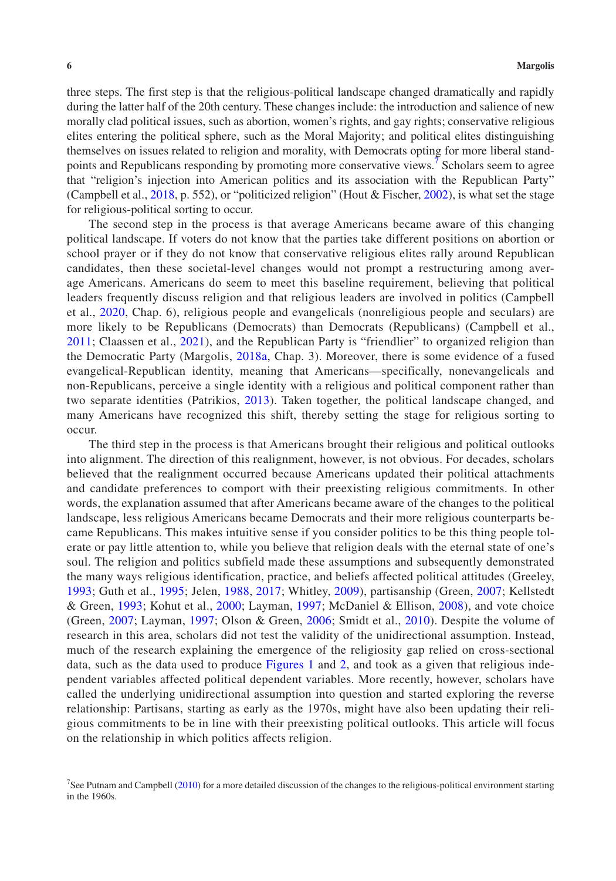three steps. The first step is that the religious-political landscape changed dramatically and rapidly during the latter half of the 20th century. These changes include: the introduction and salience of new morally clad political issues, such as abortion, women's rights, and gay rights; conservative religious elites entering the political sphere, such as the Moral Majority; and political elites distinguishing themselves on issues related to religion and morality, with Democrats opting for more liberal standpoints and Republicans responding by promoting more conservative views.<sup> $\bar{7}$ </sup> Scholars seem to agree that "religion's injection into American politics and its association with the Republican Party" (Campbell et al., [2018,](#page-25-1) p. 552), or "politicized religion" (Hout & Fischer, [2002\)](#page-26-1), is what set the stage for religious-political sorting to occur.

The second step in the process is that average Americans became aware of this changing political landscape. If voters do not know that the parties take different positions on abortion or school prayer or if they do not know that conservative religious elites rally around Republican candidates, then these societal-level changes would not prompt a restructuring among average Americans. Americans do seem to meet this baseline requirement, believing that political leaders frequently discuss religion and that religious leaders are involved in politics (Campbell et al., [2020](#page-25-2), Chap. 6), religious people and evangelicals (nonreligious people and seculars) are more likely to be Republicans (Democrats) than Democrats (Republicans) (Campbell et al., [2011](#page-25-3); Claassen et al., [2021\)](#page-25-4), and the Republican Party is "friendlier" to organized religion than the Democratic Party (Margolis, [2018a,](#page-27-1) Chap. 3). Moreover, there is some evidence of a fused evangelical-Republican identity, meaning that Americans—specifically, nonevangelicals and non-Republicans, perceive a single identity with a religious and political component rather than two separate identities (Patrikios, [2013\)](#page-28-0). Taken together, the political landscape changed, and many Americans have recognized this shift, thereby setting the stage for religious sorting to occur.

The third step in the process is that Americans brought their religious and political outlooks into alignment. The direction of this realignment, however, is not obvious. For decades, scholars believed that the realignment occurred because Americans updated their political attachments and candidate preferences to comport with their preexisting religious commitments. In other words, the explanation assumed that after Americans became aware of the changes to the political landscape, less religious Americans became Democrats and their more religious counterparts became Republicans. This makes intuitive sense if you consider politics to be this thing people tolerate or pay little attention to, while you believe that religion deals with the eternal state of one's soul. The religion and politics subfield made these assumptions and subsequently demonstrated the many ways religious identification, practice, and beliefs affected political attitudes (Greeley, [1993](#page-26-2); Guth et al., [1995](#page-26-3); Jelen, [1988](#page-26-4), [2017](#page-26-5); Whitley, [2009](#page-29-0)), partisanship (Green, [2007;](#page-26-0) Kellstedt & Green, [1993;](#page-27-3) Kohut et al., [2000;](#page-27-4) Layman, [1997](#page-27-5); McDaniel & Ellison, [2008](#page-28-1)), and vote choice (Green, [2007;](#page-26-0) Layman, [1997](#page-27-5); Olson & Green, [2006](#page-28-2); Smidt et al., [2010\)](#page-28-3). Despite the volume of research in this area, scholars did not test the validity of the unidirectional assumption. Instead, much of the research explaining the emergence of the religiosity gap relied on cross-sectional data, such as the data used to produce Figures [1](#page-2-0) and [2](#page-4-0), and took as a given that religious independent variables affected political dependent variables. More recently, however, scholars have called the underlying unidirectional assumption into question and started exploring the reverse relationship: Partisans, starting as early as the 1970s, might have also been updating their religious commitments to be in line with their preexisting political outlooks. This article will focus on the relationship in which politics affects religion.

<span id="page-5-0"></span><sup>&</sup>lt;sup>7</sup>See Putnam and Campbell ([2010\)](#page-28-4) for a more detailed discussion of the changes to the religious-political environment starting in the 1960s.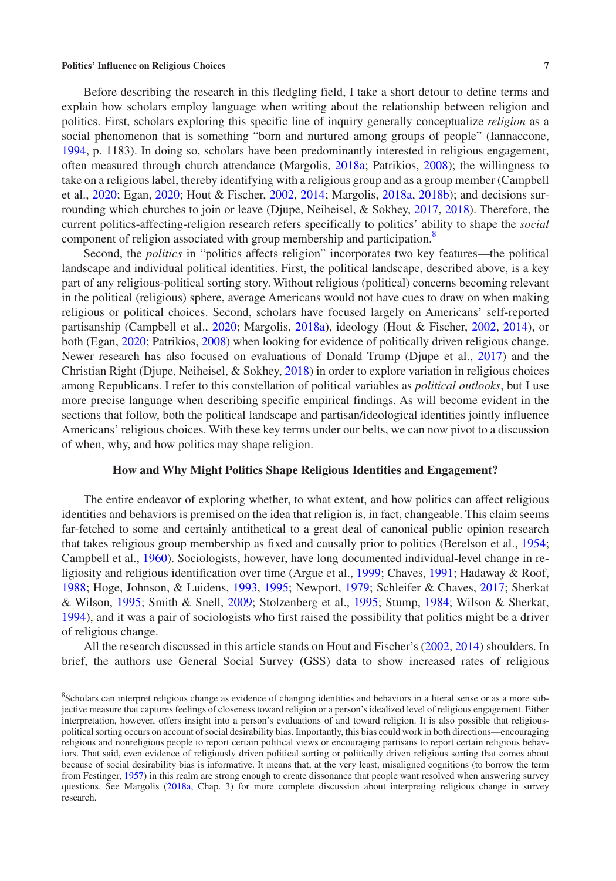Before describing the research in this fledgling field, I take a short detour to define terms and explain how scholars employ language when writing about the relationship between religion and politics. First, scholars exploring this specific line of inquiry generally conceptualize *religion* as a social phenomenon that is something "born and nurtured among groups of people" (Iannaccone, [1994](#page-26-6), p. 1183). In doing so, scholars have been predominantly interested in religious engagement, often measured through church attendance (Margolis, [2018a;](#page-27-1) Patrikios, [2008\)](#page-28-5); the willingness to take on a religious label, thereby identifying with a religious group and as a group member (Campbell et al., [2020;](#page-25-2) Egan, [2020](#page-25-5); Hout & Fischer, [2002,](#page-26-1) [2014;](#page-26-7) Margolis, [2018a](#page-27-1), [2018b\)](#page-27-6); and decisions surrounding which churches to join or leave (Djupe, Neiheisel, & Sokhey, [2017,](#page-25-6) [2018](#page-25-7)). Therefore, the current politics-affecting-religion research refers specifically to politics' ability to shape the *social* component of religion associated with group membership and participation.<sup>8</sup>

Second, the *politics* in "politics affects religion" incorporates two key features—the political landscape and individual political identities. First, the political landscape, described above, is a key part of any religious-political sorting story. Without religious (political) concerns becoming relevant in the political (religious) sphere, average Americans would not have cues to draw on when making religious or political choices. Second, scholars have focused largely on Americans' self-reported partisanship (Campbell et al., [2020;](#page-25-2) Margolis, [2018a\)](#page-27-1), ideology (Hout & Fischer, [2002,](#page-26-1) [2014\)](#page-26-7), or both (Egan, [2020](#page-25-5); Patrikios, [2008](#page-28-5)) when looking for evidence of politically driven religious change. Newer research has also focused on evaluations of Donald Trump (Djupe et al., [2017](#page-25-6)) and the Christian Right (Djupe, Neiheisel, & Sokhey, [2018](#page-25-7)) in order to explore variation in religious choices among Republicans. I refer to this constellation of political variables as *political outlooks*, but I use more precise language when describing specific empirical findings. As will become evident in the sections that follow, both the political landscape and partisan/ideological identities jointly influence Americans' religious choices. With these key terms under our belts, we can now pivot to a discussion of when, why, and how politics may shape religion.

## **How and Why Might Politics Shape Religious Identities and Engagement?**

The entire endeavor of exploring whether, to what extent, and how politics can affect religious identities and behaviors is premised on the idea that religion is, in fact, changeable. This claim seems far-fetched to some and certainly antithetical to a great deal of canonical public opinion research that takes religious group membership as fixed and causally prior to politics (Berelson et al., [1954;](#page-25-8) Campbell et al., [1960\)](#page-25-9). Sociologists, however, have long documented individual-level change in religiosity and religious identification over time (Argue et al., [1999;](#page-25-10) Chaves, [1991](#page-25-11); Hadaway & Roof, [1988](#page-26-8); Hoge, Johnson, & Luidens, [1993,](#page-26-9) [1995](#page-26-10); Newport, [1979](#page-28-6); Schleifer & Chaves, [2017;](#page-28-7) Sherkat & Wilson, [1995;](#page-28-8) Smith & Snell, [2009](#page-28-9); Stolzenberg et al., [1995](#page-28-10); Stump, [1984;](#page-28-11) Wilson & Sherkat, [1994](#page-29-1)), and it was a pair of sociologists who first raised the possibility that politics might be a driver of religious change.

All the research discussed in this article stands on Hout and Fischer's ([2002,](#page-26-1) [2014](#page-26-7)) shoulders. In brief, the authors use General Social Survey (GSS) data to show increased rates of religious

<span id="page-6-0"></span><sup>8</sup> Scholars can interpret religious change as evidence of changing identities and behaviors in a literal sense or as a more subjective measure that captures feelings of closeness toward religion or a person's idealized level of religious engagement. Either interpretation, however, offers insight into a person's evaluations of and toward religion. It is also possible that religiouspolitical sorting occurs on account of social desirability bias. Importantly, this bias could work in both directions—encouraging religious and nonreligious people to report certain political views or encouraging partisans to report certain religious behaviors. That said, even evidence of religiously driven political sorting or politically driven religious sorting that comes about because of social desirability bias is informative. It means that, at the very least, misaligned cognitions (to borrow the term from Festinger, [1957\)](#page-26-11) in this realm are strong enough to create dissonance that people want resolved when answering survey questions. See Margolis ([2018a](#page-27-1), Chap. 3) for more complete discussion about interpreting religious change in survey research.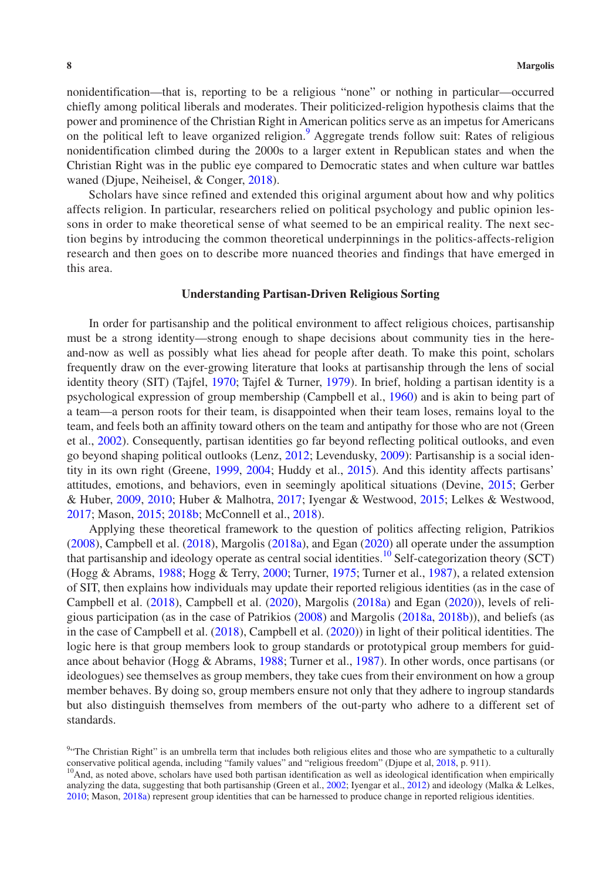nonidentification—that is, reporting to be a religious "none" or nothing in particular—occurred chiefly among political liberals and moderates. Their politicized-religion hypothesis claims that the power and prominence of the Christian Right in American politics serve as an impetus for Americans on the political left to leave organized religion.<sup>[9](#page-7-0)</sup> Aggregate trends follow suit: Rates of religious nonidentification climbed during the 2000s to a larger extent in Republican states and when the Christian Right was in the public eye compared to Democratic states and when culture war battles waned (Djupe, Neiheisel, & Conger, [2018](#page-25-12)).

Scholars have since refined and extended this original argument about how and why politics affects religion. In particular, researchers relied on political psychology and public opinion lessons in order to make theoretical sense of what seemed to be an empirical reality. The next section begins by introducing the common theoretical underpinnings in the politics-affects-religion research and then goes on to describe more nuanced theories and findings that have emerged in this area.

## **Understanding Partisan-Driven Religious Sorting**

In order for partisanship and the political environment to affect religious choices, partisanship must be a strong identity—strong enough to shape decisions about community ties in the hereand-now as well as possibly what lies ahead for people after death. To make this point, scholars frequently draw on the ever-growing literature that looks at partisanship through the lens of social identity theory (SIT) (Tajfel, [1970;](#page-29-2) Tajfel & Turner, [1979\)](#page-29-3). In brief, holding a partisan identity is a psychological expression of group membership (Campbell et al., [1960](#page-25-9)) and is akin to being part of a team—a person roots for their team, is disappointed when their team loses, remains loyal to the team, and feels both an affinity toward others on the team and antipathy for those who are not (Green et al., [2002\)](#page-26-12). Consequently, partisan identities go far beyond reflecting political outlooks, and even go beyond shaping political outlooks (Lenz, [2012](#page-27-7); Levendusky, [2009](#page-27-8)): Partisanship is a social identity in its own right (Greene, [1999,](#page-26-13) [2004;](#page-26-14) Huddy et al., [2015](#page-26-15)). And this identity affects partisans' attitudes, emotions, and behaviors, even in seemingly apolitical situations (Devine, [2015](#page-25-13); Gerber & Huber, [2009](#page-26-16), [2010;](#page-26-17) Huber & Malhotra, [2017](#page-26-18); Iyengar & Westwood, [2015;](#page-26-19) Lelkes & Westwood, [2017;](#page-27-9) Mason, [2015](#page-27-10); [2018b](#page-27-11); McConnell et al., [2018\)](#page-28-12).

Applying these theoretical framework to the question of politics affecting religion, Patrikios [\(2008](#page-28-5)), Campbell et al. ([2018\)](#page-25-1), Margolis ([2018a\)](#page-27-1), and Egan [\(2020](#page-25-5)) all operate under the assumption that partisanship and ideology operate as central social identities.<sup>[10](#page-7-1)</sup> Self-categorization theory (SCT) (Hogg & Abrams, [1988](#page-26-20); Hogg & Terry, [2000](#page-26-21); Turner, [1975;](#page-29-4) Turner et al., [1987](#page-29-5)), a related extension of SIT, then explains how individuals may update their reported religious identities (as in the case of Campbell et al. [\(2018](#page-25-1)), Campbell et al. ([2020\)](#page-25-2), Margolis ([2018a](#page-27-1)) and Egan [\(2020](#page-25-5))), levels of religious participation (as in the case of Patrikios [\(2008](#page-28-5)) and Margolis [\(2018a,](#page-27-1) [2018b\)](#page-27-6)), and beliefs (as in the case of Campbell et al. ([2018\)](#page-25-1), Campbell et al. [\(2020](#page-25-2))) in light of their political identities. The logic here is that group members look to group standards or prototypical group members for guidance about behavior (Hogg & Abrams, [1988](#page-26-20); Turner et al., [1987\)](#page-29-5). In other words, once partisans (or ideologues) see themselves as group members, they take cues from their environment on how a group member behaves. By doing so, group members ensure not only that they adhere to ingroup standards but also distinguish themselves from members of the out-party who adhere to a different set of standards.

<span id="page-7-0"></span><sup>&</sup>lt;sup>9</sup><sup>t</sup>The Christian Right" is an umbrella term that includes both religious elites and those who are sympathetic to a culturally

<span id="page-7-1"></span>conservative political agenda, including "family values" and "religious freedom" (Djupe et al, [2018,](#page-25-12) p. 911).<br><sup>10</sup>And, as noted above, scholars have used both partisan identification as well as ideological identification w analyzing the data, suggesting that both partisanship (Green et al., [2002](#page-26-12); Iyengar et al., [2012](#page-26-22)) and ideology (Malka & Lelkes, [2010;](#page-27-12) Mason, [2018a](#page-27-13)) represent group identities that can be harnessed to produce change in reported religious identities.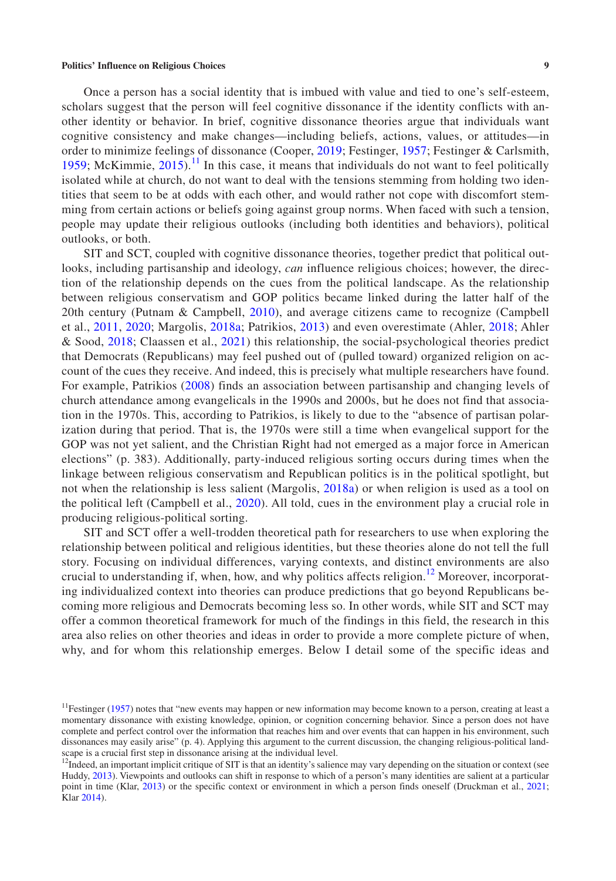Once a person has a social identity that is imbued with value and tied to one's self-esteem, scholars suggest that the person will feel cognitive dissonance if the identity conflicts with another identity or behavior. In brief, cognitive dissonance theories argue that individuals want cognitive consistency and make changes—including beliefs, actions, values, or attitudes—in order to minimize feelings of dissonance (Cooper, [2019;](#page-25-14) Festinger, [1957](#page-26-11); Festinger & Carlsmith, [1959](#page-26-23); McKimmie,  $2015$ .<sup>11</sup> In this case, it means that individuals do not want to feel politically isolated while at church, do not want to deal with the tensions stemming from holding two identities that seem to be at odds with each other, and would rather not cope with discomfort stemming from certain actions or beliefs going against group norms. When faced with such a tension, people may update their religious outlooks (including both identities and behaviors), political outlooks, or both.

SIT and SCT, coupled with cognitive dissonance theories, together predict that political outlooks, including partisanship and ideology, *can* influence religious choices; however, the direction of the relationship depends on the cues from the political landscape. As the relationship between religious conservatism and GOP politics became linked during the latter half of the 20th century (Putnam & Campbell, [2010\)](#page-28-4), and average citizens came to recognize (Campbell et al., [2011](#page-25-3), [2020](#page-25-2); Margolis, [2018a](#page-27-1); Patrikios, [2013](#page-28-0)) and even overestimate (Ahler, [2018;](#page-25-15) Ahler & Sood, [2018;](#page-25-16) Claassen et al., [2021\)](#page-25-4) this relationship, the social-psychological theories predict that Democrats (Republicans) may feel pushed out of (pulled toward) organized religion on account of the cues they receive. And indeed, this is precisely what multiple researchers have found. For example, Patrikios ([2008](#page-28-5)) finds an association between partisanship and changing levels of church attendance among evangelicals in the 1990s and 2000s, but he does not find that association in the 1970s. This, according to Patrikios, is likely to due to the "absence of partisan polarization during that period. That is, the 1970s were still a time when evangelical support for the GOP was not yet salient, and the Christian Right had not emerged as a major force in American elections" (p. 383). Additionally, party-induced religious sorting occurs during times when the linkage between religious conservatism and Republican politics is in the political spotlight, but not when the relationship is less salient (Margolis, [2018a\)](#page-27-1) or when religion is used as a tool on the political left (Campbell et al., [2020](#page-25-2)). All told, cues in the environment play a crucial role in producing religious-political sorting.

SIT and SCT offer a well-trodden theoretical path for researchers to use when exploring the relationship between political and religious identities, but these theories alone do not tell the full story. Focusing on individual differences, varying contexts, and distinct environments are also crucial to understanding if, when, how, and why politics affects religion.<sup>12</sup> Moreover, incorporating individualized context into theories can produce predictions that go beyond Republicans becoming more religious and Democrats becoming less so. In other words, while SIT and SCT may offer a common theoretical framework for much of the findings in this field, the research in this area also relies on other theories and ideas in order to provide a more complete picture of when, why, and for whom this relationship emerges. Below I detail some of the specific ideas and

<span id="page-8-0"></span><sup>&</sup>lt;sup>11</sup>Festinger [\(1957](#page-26-11)) notes that "new events may happen or new information may become known to a person, creating at least a momentary dissonance with existing knowledge, opinion, or cognition concerning behavior. Since a person does not have complete and perfect control over the information that reaches him and over events that can happen in his environment, such dissonances may easily arise" (p. 4). Applying this argument to the current discussion, the changing religious-political landscape is a crucial first step in dissonance arising at the individual level.

<span id="page-8-1"></span> $12$ Indeed, an important implicit critique of SIT is that an identity's salience may vary depending on the situation or context (see Huddy, [2013\)](#page-26-24). Viewpoints and outlooks can shift in response to which of a person's many identities are salient at a particular point in time (Klar, [2013\)](#page-27-14) or the specific context or environment in which a person finds oneself (Druckman et al., [2021](#page-25-17); Klar [2014\)](#page-27-15).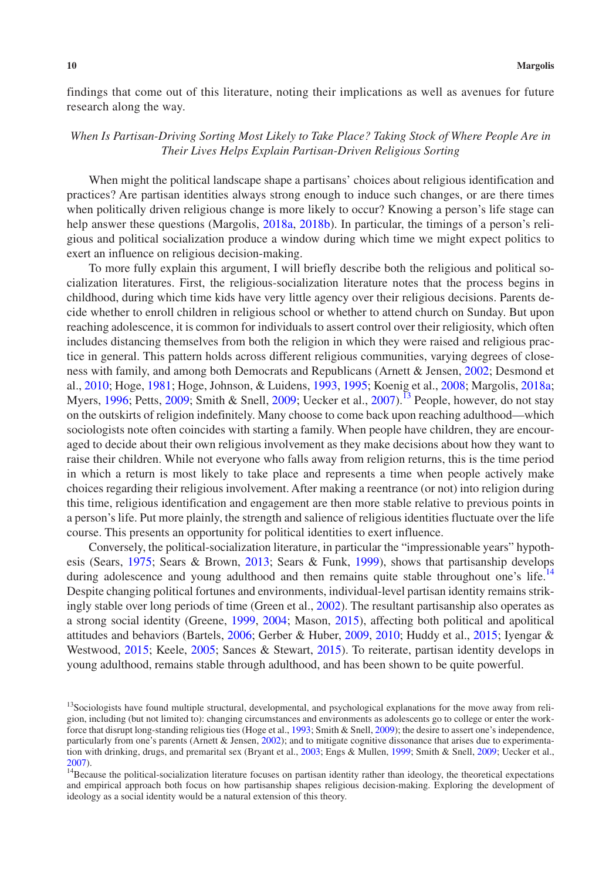findings that come out of this literature, noting their implications as well as avenues for future research along the way.

# *When Is Partisan-Driving Sorting Most Likely to Take Place? Taking Stock of Where People Are in Their Lives Helps Explain Partisan-Driven Religious Sorting*

When might the political landscape shape a partisans' choices about religious identification and practices? Are partisan identities always strong enough to induce such changes, or are there times when politically driven religious change is more likely to occur? Knowing a person's life stage can help answer these questions (Margolis, [2018a,](#page-27-1) [2018b](#page-27-6)). In particular, the timings of a person's religious and political socialization produce a window during which time we might expect politics to exert an influence on religious decision-making.

To more fully explain this argument, I will briefly describe both the religious and political socialization literatures. First, the religious-socialization literature notes that the process begins in childhood, during which time kids have very little agency over their religious decisions. Parents decide whether to enroll children in religious school or whether to attend church on Sunday. But upon reaching adolescence, it is common for individuals to assert control over their religiosity, which often includes distancing themselves from both the religion in which they were raised and religious practice in general. This pattern holds across different religious communities, varying degrees of closeness with family, and among both Democrats and Republicans (Arnett & Jensen, [2002](#page-25-18); Desmond et al., [2010](#page-25-19); Hoge, [1981](#page-26-25); Hoge, Johnson, & Luidens, [1993](#page-26-9), [1995;](#page-26-10) Koenig et al., [2008;](#page-27-16) Margolis, [2018a;](#page-27-1) Myers,  $1996$ ; Petts,  $2009$ ; Smith & Snell,  $2009$ ; Uecker et al.,  $2007$ ).<sup>[13](#page-9-0)</sup> People, however, do not stay on the outskirts of religion indefinitely. Many choose to come back upon reaching adulthood—which sociologists note often coincides with starting a family. When people have children, they are encouraged to decide about their own religious involvement as they make decisions about how they want to raise their children. While not everyone who falls away from religion returns, this is the time period in which a return is most likely to take place and represents a time when people actively make choices regarding their religious involvement. After making a reentrance (or not) into religion during this time, religious identification and engagement are then more stable relative to previous points in a person's life. Put more plainly, the strength and salience of religious identities fluctuate over the life course. This presents an opportunity for political identities to exert influence.

Conversely, the political-socialization literature, in particular the "impressionable years" hypothesis (Sears, [1975](#page-28-16); Sears & Brown, [2013](#page-28-17); Sears & Funk, [1999](#page-28-18)), shows that partisanship develops during adolescence and young adulthood and then remains quite stable throughout one's life.<sup>[14](#page-9-1)</sup> Despite changing political fortunes and environments, individual-level partisan identity remains strikingly stable over long periods of time (Green et al., [2002\)](#page-26-12). The resultant partisanship also operates as a strong social identity (Greene, [1999](#page-26-13), [2004;](#page-26-14) Mason, [2015\)](#page-27-10), affecting both political and apolitical attitudes and behaviors (Bartels, [2006;](#page-25-20) Gerber & Huber, [2009,](#page-26-16) [2010](#page-26-17); Huddy et al., [2015](#page-26-15); Iyengar & Westwood, [2015;](#page-26-19) Keele, [2005](#page-27-17); Sances & Stewart, [2015](#page-28-19)). To reiterate, partisan identity develops in young adulthood, remains stable through adulthood, and has been shown to be quite powerful.

<span id="page-9-0"></span><sup>&</sup>lt;sup>13</sup>Sociologists have found multiple structural, developmental, and psychological explanations for the move away from religion, including (but not limited to): changing circumstances and environments as adolescents go to college or enter the workforce that disrupt long-standing religious ties (Hoge et al., [1993](#page-26-9); Smith & Snell, [2009\)](#page-28-9); the desire to assert one's independence, particularly from one's parents (Arnett & Jensen, [2002\)](#page-25-18); and to mitigate cognitive dissonance that arises due to experimentation with drinking, drugs, and premarital sex (Bryant et al., [2003](#page-25-21); Engs & Mullen, [1999](#page-26-26); Smith & Snell, [2009](#page-28-9); Uecker et al.,

<span id="page-9-1"></span>[<sup>2007\)</sup>](#page-29-6).  $14$ Because the political-socialization literature focuses on partisan identity rather than ideology, the theoretical expectations and empirical approach both focus on how partisanship shapes religious decision-making. Exploring the development of ideology as a social identity would be a natural extension of this theory.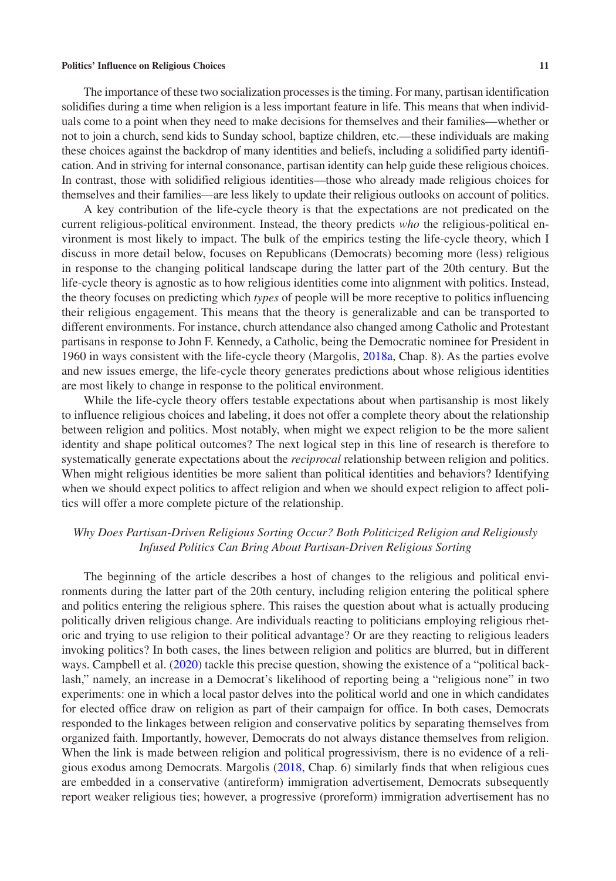The importance of these two socialization processes is the timing. For many, partisan identification solidifies during a time when religion is a less important feature in life. This means that when individuals come to a point when they need to make decisions for themselves and their families—whether or not to join a church, send kids to Sunday school, baptize children, etc.—these individuals are making these choices against the backdrop of many identities and beliefs, including a solidified party identification. And in striving for internal consonance, partisan identity can help guide these religious choices. In contrast, those with solidified religious identities—those who already made religious choices for themselves and their families—are less likely to update their religious outlooks on account of politics.

A key contribution of the life-cycle theory is that the expectations are not predicated on the current religious-political environment. Instead, the theory predicts *who* the religious-political environment is most likely to impact. The bulk of the empirics testing the life-cycle theory, which I discuss in more detail below, focuses on Republicans (Democrats) becoming more (less) religious in response to the changing political landscape during the latter part of the 20th century. But the life-cycle theory is agnostic as to how religious identities come into alignment with politics. Instead, the theory focuses on predicting which *types* of people will be more receptive to politics influencing their religious engagement. This means that the theory is generalizable and can be transported to different environments. For instance, church attendance also changed among Catholic and Protestant partisans in response to John F. Kennedy, a Catholic, being the Democratic nominee for President in 1960 in ways consistent with the life-cycle theory (Margolis, [2018a](#page-27-1), Chap. 8). As the parties evolve and new issues emerge, the life-cycle theory generates predictions about whose religious identities are most likely to change in response to the political environment.

While the life-cycle theory offers testable expectations about when partisanship is most likely to influence religious choices and labeling, it does not offer a complete theory about the relationship between religion and politics. Most notably, when might we expect religion to be the more salient identity and shape political outcomes? The next logical step in this line of research is therefore to systematically generate expectations about the *reciprocal* relationship between religion and politics. When might religious identities be more salient than political identities and behaviors? Identifying when we should expect politics to affect religion and when we should expect religion to affect politics will offer a more complete picture of the relationship.

# *Why Does Partisan-Driven Religious Sorting Occur? Both Politicized Religion and Religiously Infused Politics Can Bring About Partisan-Driven Religious Sorting*

The beginning of the article describes a host of changes to the religious and political environments during the latter part of the 20th century, including religion entering the political sphere and politics entering the religious sphere. This raises the question about what is actually producing politically driven religious change. Are individuals reacting to politicians employing religious rhetoric and trying to use religion to their political advantage? Or are they reacting to religious leaders invoking politics? In both cases, the lines between religion and politics are blurred, but in different ways. Campbell et al. ([2020\)](#page-25-2) tackle this precise question, showing the existence of a "political backlash," namely, an increase in a Democrat's likelihood of reporting being a "religious none" in two experiments: one in which a local pastor delves into the political world and one in which candidates for elected office draw on religion as part of their campaign for office. In both cases, Democrats responded to the linkages between religion and conservative politics by separating themselves from organized faith. Importantly, however, Democrats do not always distance themselves from religion. When the link is made between religion and political progressivism, there is no evidence of a religious exodus among Democrats. Margolis ([2018,](#page-27-6) Chap. 6) similarly finds that when religious cues are embedded in a conservative (antireform) immigration advertisement, Democrats subsequently report weaker religious ties; however, a progressive (proreform) immigration advertisement has no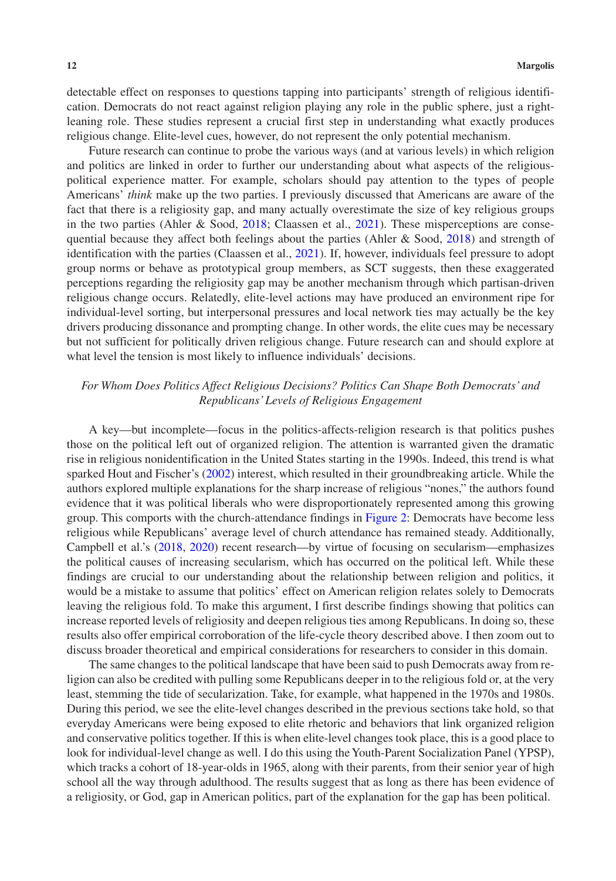detectable effect on responses to questions tapping into participants' strength of religious identification. Democrats do not react against religion playing any role in the public sphere, just a rightleaning role. These studies represent a crucial first step in understanding what exactly produces religious change. Elite-level cues, however, do not represent the only potential mechanism.

Future research can continue to probe the various ways (and at various levels) in which religion and politics are linked in order to further our understanding about what aspects of the religiouspolitical experience matter. For example, scholars should pay attention to the types of people Americans' *think* make up the two parties. I previously discussed that Americans are aware of the fact that there is a religiosity gap, and many actually overestimate the size of key religious groups in the two parties (Ahler & Sood, [2018](#page-25-16); Claassen et al., [2021\)](#page-25-4). These misperceptions are consequential because they affect both feelings about the parties (Ahler & Sood, [2018](#page-25-16)) and strength of identification with the parties (Claassen et al., [2021](#page-25-4)). If, however, individuals feel pressure to adopt group norms or behave as prototypical group members, as SCT suggests, then these exaggerated perceptions regarding the religiosity gap may be another mechanism through which partisan-driven religious change occurs. Relatedly, elite-level actions may have produced an environment ripe for individual-level sorting, but interpersonal pressures and local network ties may actually be the key drivers producing dissonance and prompting change. In other words, the elite cues may be necessary but not sufficient for politically driven religious change. Future research can and should explore at what level the tension is most likely to influence individuals' decisions.

# *For Whom Does Politics Affect Religious Decisions? Politics Can Shape Both Democrats' and Republicans' Levels of Religious Engagement*

A key—but incomplete—focus in the politics-affects-religion research is that politics pushes those on the political left out of organized religion. The attention is warranted given the dramatic rise in religious nonidentification in the United States starting in the 1990s. Indeed, this trend is what sparked Hout and Fischer's ([2002\)](#page-26-1) interest, which resulted in their groundbreaking article. While the authors explored multiple explanations for the sharp increase of religious "nones," the authors found evidence that it was political liberals who were disproportionately represented among this growing group. This comports with the church-attendance findings in Figure [2:](#page-4-0) Democrats have become less religious while Republicans' average level of church attendance has remained steady. Additionally, Campbell et al.'s [\(2018](#page-25-1), [2020](#page-25-2)) recent research—by virtue of focusing on secularism—emphasizes the political causes of increasing secularism, which has occurred on the political left. While these findings are crucial to our understanding about the relationship between religion and politics, it would be a mistake to assume that politics' effect on American religion relates solely to Democrats leaving the religious fold. To make this argument, I first describe findings showing that politics can increase reported levels of religiosity and deepen religious ties among Republicans. In doing so, these results also offer empirical corroboration of the life-cycle theory described above. I then zoom out to discuss broader theoretical and empirical considerations for researchers to consider in this domain.

The same changes to the political landscape that have been said to push Democrats away from religion can also be credited with pulling some Republicans deeper in to the religious fold or, at the very least, stemming the tide of secularization. Take, for example, what happened in the 1970s and 1980s. During this period, we see the elite-level changes described in the previous sections take hold, so that everyday Americans were being exposed to elite rhetoric and behaviors that link organized religion and conservative politics together. If this is when elite-level changes took place, this is a good place to look for individual-level change as well. I do this using the Youth-Parent Socialization Panel (YPSP), which tracks a cohort of 18-year-olds in 1965, along with their parents, from their senior year of high school all the way through adulthood. The results suggest that as long as there has been evidence of a religiosity, or God, gap in American politics, part of the explanation for the gap has been political.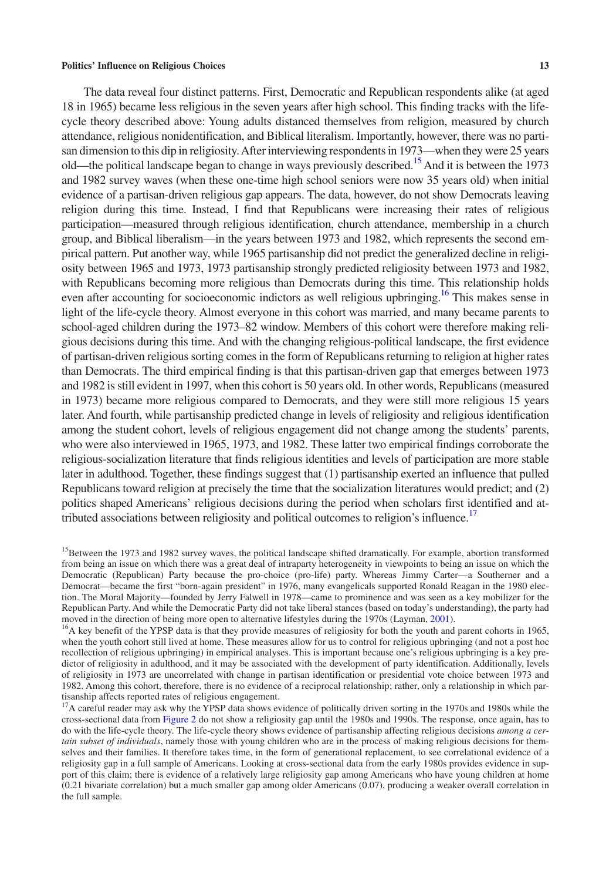The data reveal four distinct patterns. First, Democratic and Republican respondents alike (at aged 18 in 1965) became less religious in the seven years after high school. This finding tracks with the lifecycle theory described above: Young adults distanced themselves from religion, measured by church attendance, religious nonidentification, and Biblical literalism. Importantly, however, there was no partisan dimension to this dip in religiosity. After interviewing respondents in 1973—when they were 25 years old—the political landscape began to change in ways previously described[.15](#page-12-0) And it is between the 1973 and 1982 survey waves (when these one-time high school seniors were now 35 years old) when initial evidence of a partisan-driven religious gap appears. The data, however, do not show Democrats leaving religion during this time. Instead, I find that Republicans were increasing their rates of religious participation—measured through religious identification, church attendance, membership in a church group, and Biblical liberalism—in the years between 1973 and 1982, which represents the second empirical pattern. Put another way, while 1965 partisanship did not predict the generalized decline in religiosity between 1965 and 1973, 1973 partisanship strongly predicted religiosity between 1973 and 1982, with Republicans becoming more religious than Democrats during this time. This relationship holds even after accounting for socioeconomic indictors as well religious upbringing.<sup>[16](#page-12-1)</sup> This makes sense in light of the life-cycle theory. Almost everyone in this cohort was married, and many became parents to school-aged children during the 1973–82 window. Members of this cohort were therefore making religious decisions during this time. And with the changing religious-political landscape, the first evidence of partisan-driven religious sorting comes in the form of Republicans returning to religion at higher rates than Democrats. The third empirical finding is that this partisan-driven gap that emerges between 1973 and 1982 is still evident in 1997, when this cohort is 50 years old. In other words, Republicans (measured in 1973) became more religious compared to Democrats, and they were still more religious 15 years later. And fourth, while partisanship predicted change in levels of religiosity and religious identification among the student cohort, levels of religious engagement did not change among the students' parents, who were also interviewed in 1965, 1973, and 1982. These latter two empirical findings corroborate the religious-socialization literature that finds religious identities and levels of participation are more stable later in adulthood. Together, these findings suggest that (1) partisanship exerted an influence that pulled Republicans toward religion at precisely the time that the socialization literatures would predict; and (2) politics shaped Americans' religious decisions during the period when scholars first identified and at-tributed associations between religiosity and political outcomes to religion's influence.<sup>[17](#page-12-2)</sup>

<span id="page-12-0"></span><sup>&</sup>lt;sup>15</sup>Between the 1973 and 1982 survey waves, the political landscape shifted dramatically. For example, abortion transformed from being an issue on which there was a great deal of intraparty heterogeneity in viewpoints to being an issue on which the Democratic (Republican) Party because the pro-choice (pro-life) party. Whereas Jimmy Carter—a Southerner and a Democrat—became the first "born-again president" in 1976, many evangelicals supported Ronald Reagan in the 1980 election. The Moral Majority—founded by Jerry Falwell in 1978—came to prominence and was seen as a key mobilizer for the Republican Party. And while the Democratic Party did not take liberal stances (based on today's understanding), the party had moved in the direction of being more open to alternative lifestyles during the 1970s (Layman, [2001](#page-27-18)).<br><sup>16</sup>A key benefit of the YPSP data is that they provide measures of religiosity for both the youth and parent cohorts in

<span id="page-12-1"></span>when the youth cohort still lived at home. These measures allow for us to control for religious upbringing (and not a post hoc recollection of religious upbringing) in empirical analyses. This is important because one's religious upbringing is a key predictor of religiosity in adulthood, and it may be associated with the development of party identification. Additionally, levels of religiosity in 1973 are uncorrelated with change in partisan identification or presidential vote choice between 1973 and 1982. Among this cohort, therefore, there is no evidence of a reciprocal relationship; rather, only a relationship in which partisanship affects reported rates of religious engagement.

<span id="page-12-2"></span> $17A$  careful reader may ask why the YPSP data shows evidence of politically driven sorting in the 1970s and 1980s while the cross-sectional data from Figure [2](#page-4-0) do not show a religiosity gap until the 1980s and 1990s. The response, once again, has to do with the life-cycle theory. The life-cycle theory shows evidence of partisanship affecting religious decisions *among a certain subset of individuals*, namely those with young children who are in the process of making religious decisions for themselves and their families. It therefore takes time, in the form of generational replacement, to see correlational evidence of a religiosity gap in a full sample of Americans. Looking at cross-sectional data from the early 1980s provides evidence in support of this claim; there is evidence of a relatively large religiosity gap among Americans who have young children at home (0.21 bivariate correlation) but a much smaller gap among older Americans (0.07), producing a weaker overall correlation in the full sample.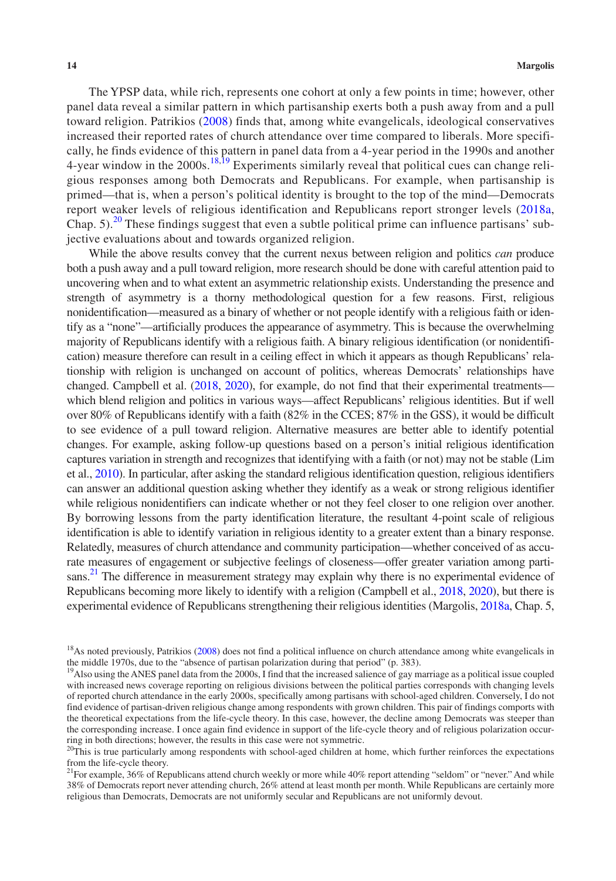The YPSP data, while rich, represents one cohort at only a few points in time; however, other panel data reveal a similar pattern in which partisanship exerts both a push away from and a pull toward religion. Patrikios [\(2008\)](#page-28-5) finds that, among white evangelicals, ideological conservatives increased their reported rates of church attendance over time compared to liberals. More specifically, he finds evidence of this pattern in panel data from a 4-year period in the 1990s and another 4-year window in the  $2000s$ .<sup>[18](#page-13-0),[19](#page-13-1)</sup> Experiments similarly reveal that political cues can change religious responses among both Democrats and Republicans. For example, when partisanship is primed—that is, when a person's political identity is brought to the top of the mind—Democrats report weaker levels of religious identification and Republicans report stronger levels ([2018a](#page-27-1), Chap.  $5$ .<sup>20</sup> These findings suggest that even a subtle political prime can influence partisans' subjective evaluations about and towards organized religion.

While the above results convey that the current nexus between religion and politics *can* produce both a push away and a pull toward religion, more research should be done with careful attention paid to uncovering when and to what extent an asymmetric relationship exists. Understanding the presence and strength of asymmetry is a thorny methodological question for a few reasons. First, religious nonidentification—measured as a binary of whether or not people identify with a religious faith or identify as a "none"—artificially produces the appearance of asymmetry. This is because the overwhelming majority of Republicans identify with a religious faith. A binary religious identification (or nonidentification) measure therefore can result in a ceiling effect in which it appears as though Republicans' relationship with religion is unchanged on account of politics, whereas Democrats' relationships have changed. Campbell et al. [\(2018,](#page-25-1) [2020](#page-25-2)), for example, do not find that their experimental treatments which blend religion and politics in various ways—affect Republicans' religious identities. But if well over 80% of Republicans identify with a faith (82% in the CCES; 87% in the GSS), it would be difficult to see evidence of a pull toward religion. Alternative measures are better able to identify potential changes. For example, asking follow-up questions based on a person's initial religious identification captures variation in strength and recognizes that identifying with a faith (or not) may not be stable (Lim et al., [2010](#page-27-19)). In particular, after asking the standard religious identification question, religious identifiers can answer an additional question asking whether they identify as a weak or strong religious identifier while religious nonidentifiers can indicate whether or not they feel closer to one religion over another. By borrowing lessons from the party identification literature, the resultant 4-point scale of religious identification is able to identify variation in religious identity to a greater extent than a binary response. Relatedly, measures of church attendance and community participation—whether conceived of as accurate measures of engagement or subjective feelings of closeness—offer greater variation among parti-sans.<sup>[21](#page-13-3)</sup> The difference in measurement strategy may explain why there is no experimental evidence of Republicans becoming more likely to identify with a religion (Campbell et al., [2018,](#page-25-1) [2020\)](#page-25-2), but there is experimental evidence of Republicans strengthening their religious identities (Margolis, [2018a,](#page-27-1) Chap. 5,

<span id="page-13-0"></span><sup>&</sup>lt;sup>18</sup>As noted previously, Patrikios [\(2008](#page-28-5)) does not find a political influence on church attendance among white evangelicals in the middle 1970s, due to the "absence of partisan polarization during that period" (p. 383).

<span id="page-13-1"></span><sup>&</sup>lt;sup>19</sup>Also using the ANES panel data from the 2000s, I find that the increased salience of gay marriage as a political issue coupled with increased news coverage reporting on religious divisions between the political parties corresponds with changing levels of reported church attendance in the early 2000s, specifically among partisans with school-aged children. Conversely, I do not find evidence of partisan-driven religious change among respondents with grown children. This pair of findings comports with the theoretical expectations from the life-cycle theory. In this case, however, the decline among Democrats was steeper than the corresponding increase. I once again find evidence in support of the life-cycle theory and of religious polarization occurring in both directions; however, the results in this case were not symmetric.

<span id="page-13-2"></span> $20$ This is true particularly among respondents with school-aged children at home, which further reinforces the expectations from the life-cycle theory.<br><sup>21</sup>For example, 36% of Republicans attend church weekly or more while 40% report attending "seldom" or "never." And while

<span id="page-13-3"></span><sup>38%</sup> of Democrats report never attending church, 26% attend at least month per month. While Republicans are certainly more religious than Democrats, Democrats are not uniformly secular and Republicans are not uniformly devout.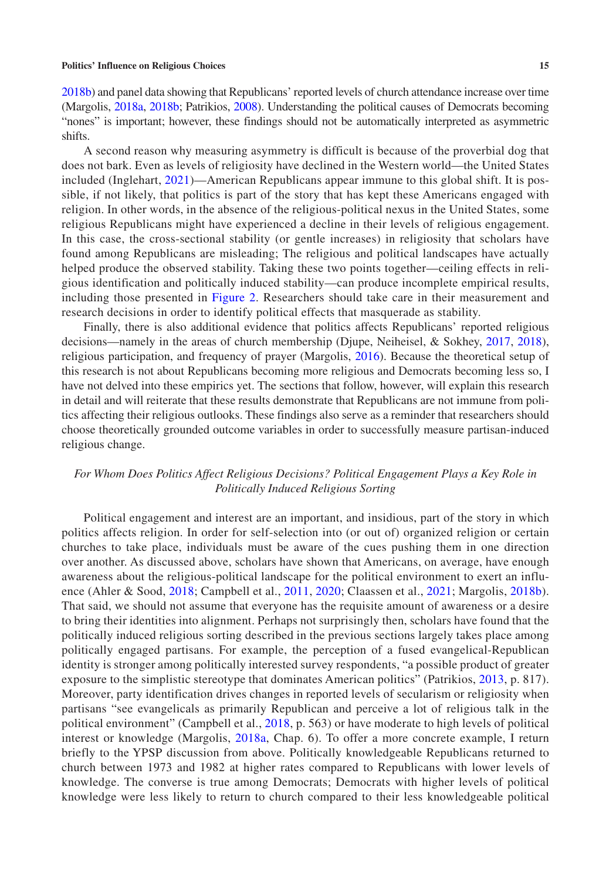[2018b\)](#page-27-6) and panel data showing that Republicans' reported levels of church attendance increase over time (Margolis, [2018a](#page-27-1), [2018b;](#page-27-6) Patrikios, [2008\)](#page-28-5). Understanding the political causes of Democrats becoming "nones" is important; however, these findings should not be automatically interpreted as asymmetric shifts.

A second reason why measuring asymmetry is difficult is because of the proverbial dog that does not bark. Even as levels of religiosity have declined in the Western world—the United States included (Inglehart, [2021](#page-26-27))—American Republicans appear immune to this global shift. It is possible, if not likely, that politics is part of the story that has kept these Americans engaged with religion. In other words, in the absence of the religious-political nexus in the United States, some religious Republicans might have experienced a decline in their levels of religious engagement. In this case, the cross-sectional stability (or gentle increases) in religiosity that scholars have found among Republicans are misleading; The religious and political landscapes have actually helped produce the observed stability. Taking these two points together—ceiling effects in religious identification and politically induced stability—can produce incomplete empirical results, including those presented in Figure [2](#page-4-0). Researchers should take care in their measurement and research decisions in order to identify political effects that masquerade as stability.

Finally, there is also additional evidence that politics affects Republicans' reported religious decisions—namely in the areas of church membership (Djupe, Neiheisel, & Sokhey, [2017,](#page-25-6) [2018](#page-25-7)), religious participation, and frequency of prayer (Margolis, [2016](#page-27-20)). Because the theoretical setup of this research is not about Republicans becoming more religious and Democrats becoming less so, I have not delved into these empirics yet. The sections that follow, however, will explain this research in detail and will reiterate that these results demonstrate that Republicans are not immune from politics affecting their religious outlooks. These findings also serve as a reminder that researchers should choose theoretically grounded outcome variables in order to successfully measure partisan-induced religious change.

# *For Whom Does Politics Affect Religious Decisions? Political Engagement Plays a Key Role in Politically Induced Religious Sorting*

Political engagement and interest are an important, and insidious, part of the story in which politics affects religion. In order for self-selection into (or out of) organized religion or certain churches to take place, individuals must be aware of the cues pushing them in one direction over another. As discussed above, scholars have shown that Americans, on average, have enough awareness about the religious-political landscape for the political environment to exert an influence (Ahler & Sood, [2018;](#page-25-16) Campbell et al., [2011](#page-25-3), [2020;](#page-25-2) Claassen et al., [2021;](#page-25-4) Margolis, [2018b](#page-27-6)). That said, we should not assume that everyone has the requisite amount of awareness or a desire to bring their identities into alignment. Perhaps not surprisingly then, scholars have found that the politically induced religious sorting described in the previous sections largely takes place among politically engaged partisans. For example, the perception of a fused evangelical-Republican identity is stronger among politically interested survey respondents, "a possible product of greater exposure to the simplistic stereotype that dominates American politics" (Patrikios, [2013,](#page-28-0) p. 817). Moreover, party identification drives changes in reported levels of secularism or religiosity when partisans "see evangelicals as primarily Republican and perceive a lot of religious talk in the political environment" (Campbell et al., [2018](#page-25-1), p. 563) or have moderate to high levels of political interest or knowledge (Margolis, [2018a,](#page-27-1) Chap. 6). To offer a more concrete example, I return briefly to the YPSP discussion from above. Politically knowledgeable Republicans returned to church between 1973 and 1982 at higher rates compared to Republicans with lower levels of knowledge. The converse is true among Democrats; Democrats with higher levels of political knowledge were less likely to return to church compared to their less knowledgeable political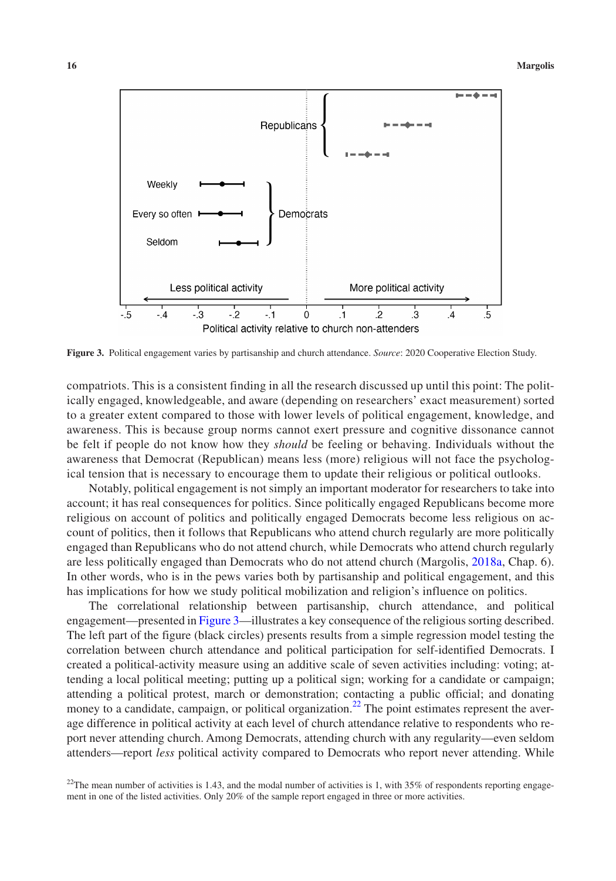

<span id="page-15-0"></span>**Figure 3.** Political engagement varies by partisanship and church attendance. *Source*: 2020 Cooperative Election Study.

compatriots. This is a consistent finding in all the research discussed up until this point: The politically engaged, knowledgeable, and aware (depending on researchers' exact measurement) sorted to a greater extent compared to those with lower levels of political engagement, knowledge, and awareness. This is because group norms cannot exert pressure and cognitive dissonance cannot be felt if people do not know how they *should* be feeling or behaving. Individuals without the awareness that Democrat (Republican) means less (more) religious will not face the psychological tension that is necessary to encourage them to update their religious or political outlooks.

Notably, political engagement is not simply an important moderator for researchers to take into account; it has real consequences for politics. Since politically engaged Republicans become more religious on account of politics and politically engaged Democrats become less religious on account of politics, then it follows that Republicans who attend church regularly are more politically engaged than Republicans who do not attend church, while Democrats who attend church regularly are less politically engaged than Democrats who do not attend church (Margolis, [2018a,](#page-27-1) Chap. 6). In other words, who is in the pews varies both by partisanship and political engagement, and this has implications for how we study political mobilization and religion's influence on politics.

The correlational relationship between partisanship, church attendance, and political engagement—presented in Figure [3—](#page-15-0)illustrates a key consequence of the religious sorting described. The left part of the figure (black circles) presents results from a simple regression model testing the correlation between church attendance and political participation for self-identified Democrats. I created a political-activity measure using an additive scale of seven activities including: voting; attending a local political meeting; putting up a political sign; working for a candidate or campaign; attending a political protest, march or demonstration; contacting a public official; and donating money to a candidate, campaign, or political organization.<sup>[22](#page-15-1)</sup> The point estimates represent the average difference in political activity at each level of church attendance relative to respondents who report never attending church. Among Democrats, attending church with any regularity—even seldom attenders—report *less* political activity compared to Democrats who report never attending. While

<span id="page-15-1"></span><sup>&</sup>lt;sup>22</sup>The mean number of activities is 1.43, and the modal number of activities is 1, with  $35\%$  of respondents reporting engagement in one of the listed activities. Only 20% of the sample report engaged in three or more activities.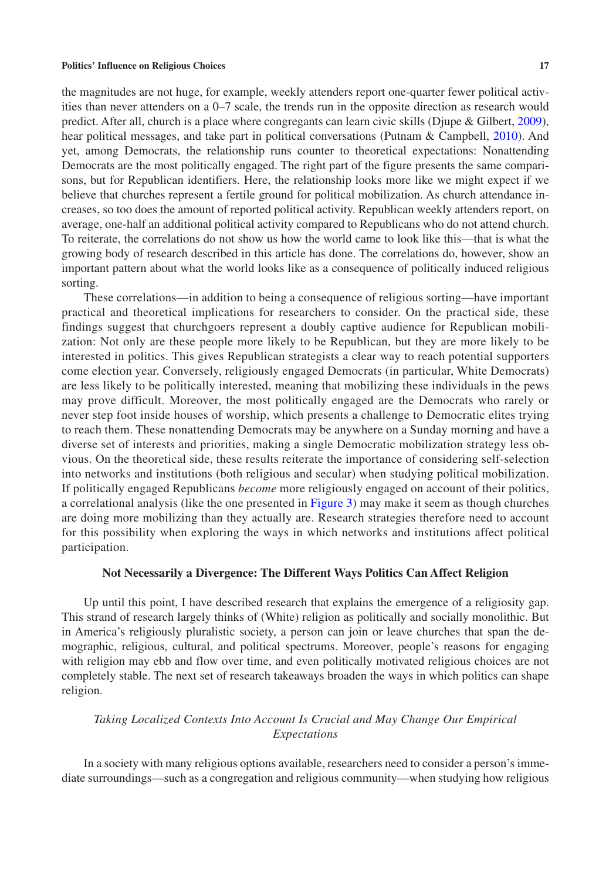the magnitudes are not huge, for example, weekly attenders report one-quarter fewer political activities than never attenders on a 0–7 scale, the trends run in the opposite direction as research would predict. After all, church is a place where congregants can learn civic skills (Djupe & Gilbert, [2009](#page-25-22)), hear political messages, and take part in political conversations (Putnam & Campbell, [2010\)](#page-28-4). And yet, among Democrats, the relationship runs counter to theoretical expectations: Nonattending Democrats are the most politically engaged. The right part of the figure presents the same comparisons, but for Republican identifiers. Here, the relationship looks more like we might expect if we believe that churches represent a fertile ground for political mobilization. As church attendance increases, so too does the amount of reported political activity. Republican weekly attenders report, on average, one-half an additional political activity compared to Republicans who do not attend church. To reiterate, the correlations do not show us how the world came to look like this—that is what the growing body of research described in this article has done. The correlations do, however, show an important pattern about what the world looks like as a consequence of politically induced religious sorting.

These correlations—in addition to being a consequence of religious sorting—have important practical and theoretical implications for researchers to consider. On the practical side, these findings suggest that churchgoers represent a doubly captive audience for Republican mobilization: Not only are these people more likely to be Republican, but they are more likely to be interested in politics. This gives Republican strategists a clear way to reach potential supporters come election year. Conversely, religiously engaged Democrats (in particular, White Democrats) are less likely to be politically interested, meaning that mobilizing these individuals in the pews may prove difficult. Moreover, the most politically engaged are the Democrats who rarely or never step foot inside houses of worship, which presents a challenge to Democratic elites trying to reach them. These nonattending Democrats may be anywhere on a Sunday morning and have a diverse set of interests and priorities, making a single Democratic mobilization strategy less obvious. On the theoretical side, these results reiterate the importance of considering self-selection into networks and institutions (both religious and secular) when studying political mobilization. If politically engaged Republicans *become* more religiously engaged on account of their politics, a correlational analysis (like the one presented in Figure [3\)](#page-15-0) may make it seem as though churches are doing more mobilizing than they actually are. Research strategies therefore need to account for this possibility when exploring the ways in which networks and institutions affect political participation.

## **Not Necessarily a Divergence: The Different Ways Politics Can Affect Religion**

Up until this point, I have described research that explains the emergence of a religiosity gap. This strand of research largely thinks of (White) religion as politically and socially monolithic. But in America's religiously pluralistic society, a person can join or leave churches that span the demographic, religious, cultural, and political spectrums. Moreover, people's reasons for engaging with religion may ebb and flow over time, and even politically motivated religious choices are not completely stable. The next set of research takeaways broaden the ways in which politics can shape religion.

# *Taking Localized Contexts Into Account Is Crucial and May Change Our Empirical Expectations*

In a society with many religious options available, researchers need to consider a person's immediate surroundings—such as a congregation and religious community—when studying how religious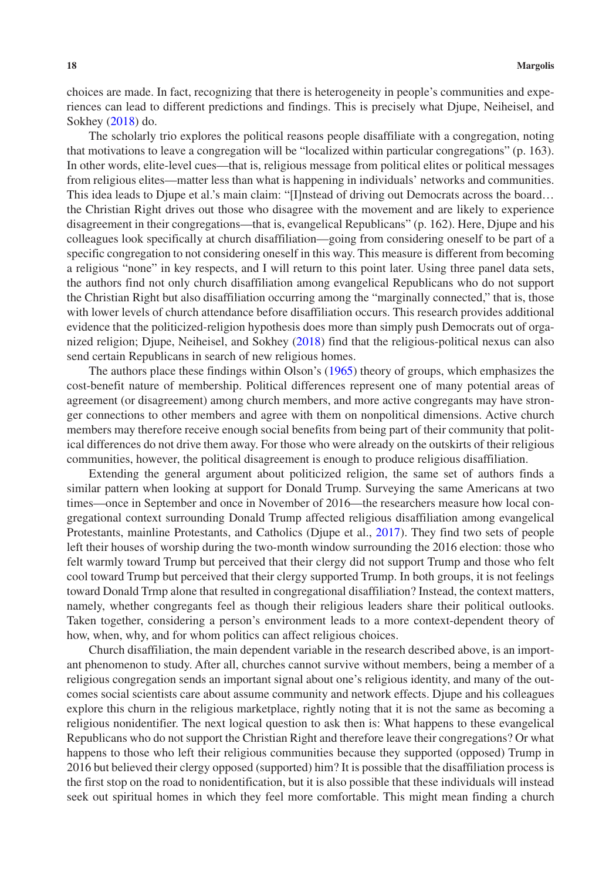choices are made. In fact, recognizing that there is heterogeneity in people's communities and experiences can lead to different predictions and findings. This is precisely what Djupe, Neiheisel, and Sokhey [\(2018](#page-25-7)) do.

The scholarly trio explores the political reasons people disaffiliate with a congregation, noting that motivations to leave a congregation will be "localized within particular congregations" (p. 163). In other words, elite-level cues—that is, religious message from political elites or political messages from religious elites—matter less than what is happening in individuals' networks and communities. This idea leads to Djupe et al.'s main claim: "[I]nstead of driving out Democrats across the board… the Christian Right drives out those who disagree with the movement and are likely to experience disagreement in their congregations—that is, evangelical Republicans" (p. 162). Here, Djupe and his colleagues look specifically at church disaffiliation—going from considering oneself to be part of a specific congregation to not considering oneself in this way. This measure is different from becoming a religious "none" in key respects, and I will return to this point later. Using three panel data sets, the authors find not only church disaffiliation among evangelical Republicans who do not support the Christian Right but also disaffiliation occurring among the "marginally connected," that is, those with lower levels of church attendance before disaffiliation occurs. This research provides additional evidence that the politicized-religion hypothesis does more than simply push Democrats out of organized religion; Djupe, Neiheisel, and Sokhey [\(2018](#page-25-7)) find that the religious-political nexus can also send certain Republicans in search of new religious homes.

The authors place these findings within Olson's ([1965\)](#page-28-20) theory of groups, which emphasizes the cost-benefit nature of membership. Political differences represent one of many potential areas of agreement (or disagreement) among church members, and more active congregants may have stronger connections to other members and agree with them on nonpolitical dimensions. Active church members may therefore receive enough social benefits from being part of their community that political differences do not drive them away. For those who were already on the outskirts of their religious communities, however, the political disagreement is enough to produce religious disaffiliation.

Extending the general argument about politicized religion, the same set of authors finds a similar pattern when looking at support for Donald Trump. Surveying the same Americans at two times—once in September and once in November of 2016—the researchers measure how local congregational context surrounding Donald Trump affected religious disaffiliation among evangelical Protestants, mainline Protestants, and Catholics (Djupe et al., [2017\)](#page-25-6). They find two sets of people left their houses of worship during the two-month window surrounding the 2016 election: those who felt warmly toward Trump but perceived that their clergy did not support Trump and those who felt cool toward Trump but perceived that their clergy supported Trump. In both groups, it is not feelings toward Donald Trmp alone that resulted in congregational disaffiliation? Instead, the context matters, namely, whether congregants feel as though their religious leaders share their political outlooks. Taken together, considering a person's environment leads to a more context-dependent theory of how, when, why, and for whom politics can affect religious choices.

Church disaffiliation, the main dependent variable in the research described above, is an important phenomenon to study. After all, churches cannot survive without members, being a member of a religious congregation sends an important signal about one's religious identity, and many of the outcomes social scientists care about assume community and network effects. Djupe and his colleagues explore this churn in the religious marketplace, rightly noting that it is not the same as becoming a religious nonidentifier. The next logical question to ask then is: What happens to these evangelical Republicans who do not support the Christian Right and therefore leave their congregations? Or what happens to those who left their religious communities because they supported (opposed) Trump in 2016 but believed their clergy opposed (supported) him? It is possible that the disaffiliation process is the first stop on the road to nonidentification, but it is also possible that these individuals will instead seek out spiritual homes in which they feel more comfortable. This might mean finding a church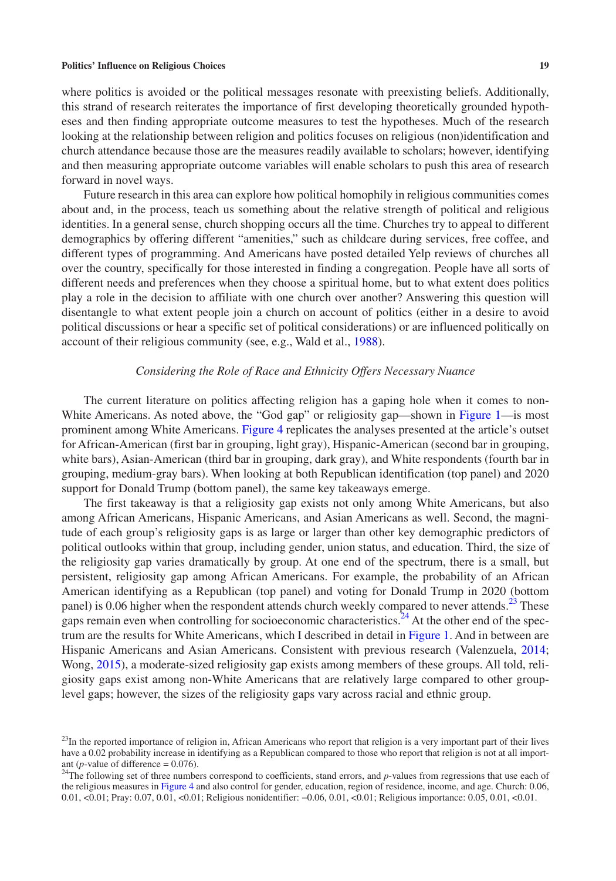where politics is avoided or the political messages resonate with preexisting beliefs. Additionally, this strand of research reiterates the importance of first developing theoretically grounded hypotheses and then finding appropriate outcome measures to test the hypotheses. Much of the research looking at the relationship between religion and politics focuses on religious (non)identification and church attendance because those are the measures readily available to scholars; however, identifying and then measuring appropriate outcome variables will enable scholars to push this area of research forward in novel ways.

Future research in this area can explore how political homophily in religious communities comes about and, in the process, teach us something about the relative strength of political and religious identities. In a general sense, church shopping occurs all the time. Churches try to appeal to different demographics by offering different "amenities," such as childcare during services, free coffee, and different types of programming. And Americans have posted detailed Yelp reviews of churches all over the country, specifically for those interested in finding a congregation. People have all sorts of different needs and preferences when they choose a spiritual home, but to what extent does politics play a role in the decision to affiliate with one church over another? Answering this question will disentangle to what extent people join a church on account of politics (either in a desire to avoid political discussions or hear a specific set of political considerations) or are influenced politically on account of their religious community (see, e.g., Wald et al., [1988](#page-29-7)).

## *Considering the Role of Race and Ethnicity Offers Necessary Nuance*

The current literature on politics affecting religion has a gaping hole when it comes to non-White Americans. As noted above, the "God gap" or religiosity gap—shown in Figure [1](#page-2-0)—is most prominent among White Americans. Figure [4](#page-19-0) replicates the analyses presented at the article's outset for African-American (first bar in grouping, light gray), Hispanic-American (second bar in grouping, white bars), Asian-American (third bar in grouping, dark gray), and White respondents (fourth bar in grouping, medium-gray bars). When looking at both Republican identification (top panel) and 2020 support for Donald Trump (bottom panel), the same key takeaways emerge.

The first takeaway is that a religiosity gap exists not only among White Americans, but also among African Americans, Hispanic Americans, and Asian Americans as well. Second, the magnitude of each group's religiosity gaps is as large or larger than other key demographic predictors of political outlooks within that group, including gender, union status, and education. Third, the size of the religiosity gap varies dramatically by group. At one end of the spectrum, there is a small, but persistent, religiosity gap among African Americans. For example, the probability of an African American identifying as a Republican (top panel) and voting for Donald Trump in 2020 (bottom panel) is 0.06 higher when the respondent attends church weekly compared to never attends.<sup>[23](#page-18-0)</sup> These gaps remain even when controlling for socioeconomic characteristics.<sup>24</sup> At the other end of the spectrum are the results for White Americans, which I described in detail in Figure [1.](#page-2-0) And in between are Hispanic Americans and Asian Americans. Consistent with previous research (Valenzuela, [2014;](#page-29-8) Wong, [2015](#page-29-9)), a moderate-sized religiosity gap exists among members of these groups. All told, religiosity gaps exist among non-White Americans that are relatively large compared to other grouplevel gaps; however, the sizes of the religiosity gaps vary across racial and ethnic group.

<span id="page-18-0"></span> $23$ In the reported importance of religion in, African Americans who report that religion is a very important part of their lives have a 0.02 probability increase in identifying as a Republican compared to those who report that religion is not at all import-

<span id="page-18-1"></span>ant (*p*-value of difference = 0.076).<br><sup>24</sup>The following set of three numbers correspond to coefficients, stand errors, and *p*-values from regressions that use each of the religious measures in Figure [4](#page-19-0) and also control for gender, education, region of residence, income, and age. Church: 0.06, 0.01, <0.01; Pray: 0.07, 0.01, <0.01; Religious nonidentifier: −0.06, 0.01, <0.01; Religious importance: 0.05, 0.01, <0.01.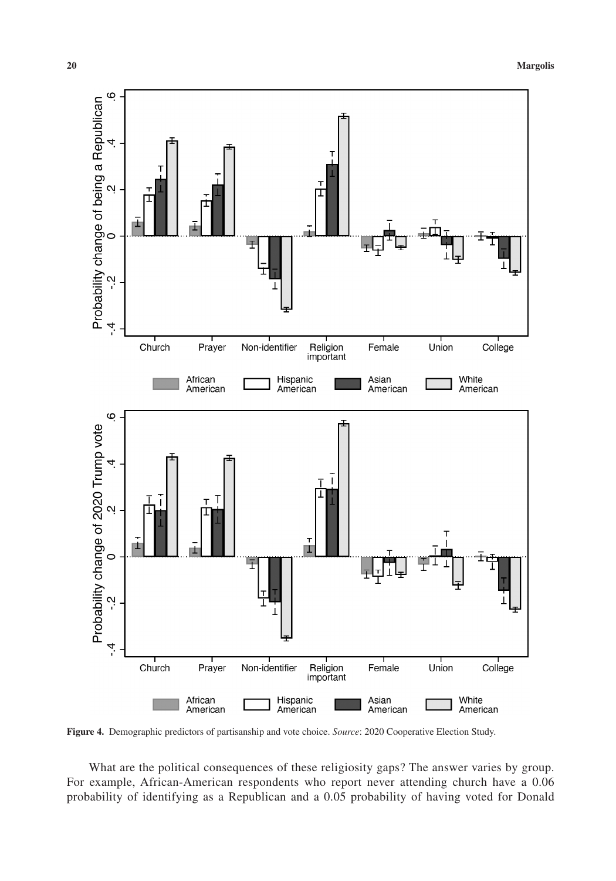

<span id="page-19-0"></span>**Figure 4.** Demographic predictors of partisanship and vote choice. *Source*: 2020 Cooperative Election Study.

What are the political consequences of these religiosity gaps? The answer varies by group. For example, African-American respondents who report never attending church have a 0.06 probability of identifying as a Republican and a 0.05 probability of having voted for Donald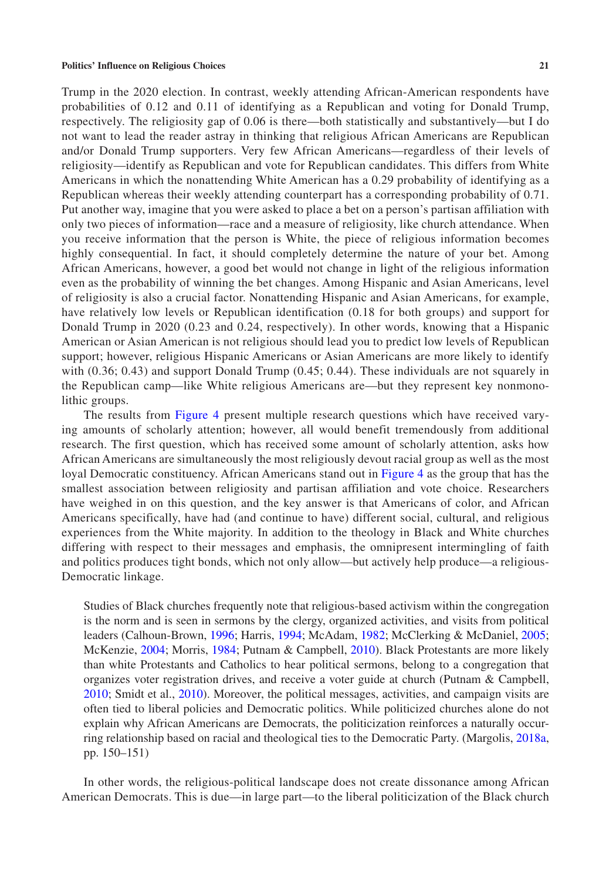Trump in the 2020 election. In contrast, weekly attending African-American respondents have probabilities of 0.12 and 0.11 of identifying as a Republican and voting for Donald Trump, respectively. The religiosity gap of 0.06 is there—both statistically and substantively—but I do not want to lead the reader astray in thinking that religious African Americans are Republican and/or Donald Trump supporters. Very few African Americans—regardless of their levels of religiosity—identify as Republican and vote for Republican candidates. This differs from White Americans in which the nonattending White American has a 0.29 probability of identifying as a Republican whereas their weekly attending counterpart has a corresponding probability of 0.71. Put another way, imagine that you were asked to place a bet on a person's partisan affiliation with only two pieces of information—race and a measure of religiosity, like church attendance. When you receive information that the person is White, the piece of religious information becomes highly consequential. In fact, it should completely determine the nature of your bet. Among African Americans, however, a good bet would not change in light of the religious information even as the probability of winning the bet changes. Among Hispanic and Asian Americans, level of religiosity is also a crucial factor. Nonattending Hispanic and Asian Americans, for example, have relatively low levels or Republican identification (0.18 for both groups) and support for Donald Trump in 2020 (0.23 and 0.24, respectively). In other words, knowing that a Hispanic American or Asian American is not religious should lead you to predict low levels of Republican support; however, religious Hispanic Americans or Asian Americans are more likely to identify with (0.36; 0.43) and support Donald Trump (0.45; 0.44). These individuals are not squarely in the Republican camp—like White religious Americans are—but they represent key nonmonolithic groups.

The results from Figure [4](#page-19-0) present multiple research questions which have received varying amounts of scholarly attention; however, all would benefit tremendously from additional research. The first question, which has received some amount of scholarly attention, asks how African Americans are simultaneously the most religiously devout racial group as well as the most loyal Democratic constituency. African Americans stand out in Figure [4](#page-19-0) as the group that has the smallest association between religiosity and partisan affiliation and vote choice. Researchers have weighed in on this question, and the key answer is that Americans of color, and African Americans specifically, have had (and continue to have) different social, cultural, and religious experiences from the White majority. In addition to the theology in Black and White churches differing with respect to their messages and emphasis, the omnipresent intermingling of faith and politics produces tight bonds, which not only allow—but actively help produce—a religious-Democratic linkage.

Studies of Black churches frequently note that religious-based activism within the congregation is the norm and is seen in sermons by the clergy, organized activities, and visits from political leaders (Calhoun-Brown, [1996;](#page-25-23) Harris, [1994](#page-26-28); McAdam, [1982](#page-27-21); McClerking & McDaniel, [2005;](#page-27-22) McKenzie, [2004](#page-28-21); Morris, [1984](#page-28-22); Putnam & Campbell, [2010\)](#page-28-4). Black Protestants are more likely than white Protestants and Catholics to hear political sermons, belong to a congregation that organizes voter registration drives, and receive a voter guide at church (Putnam & Campbell, [2010](#page-28-4); Smidt et al., [2010](#page-28-3)). Moreover, the political messages, activities, and campaign visits are often tied to liberal policies and Democratic politics. While politicized churches alone do not explain why African Americans are Democrats, the politicization reinforces a naturally occurring relationship based on racial and theological ties to the Democratic Party. (Margolis, [2018a,](#page-27-1) pp. 150–151)

In other words, the religious-political landscape does not create dissonance among African American Democrats. This is due—in large part—to the liberal politicization of the Black church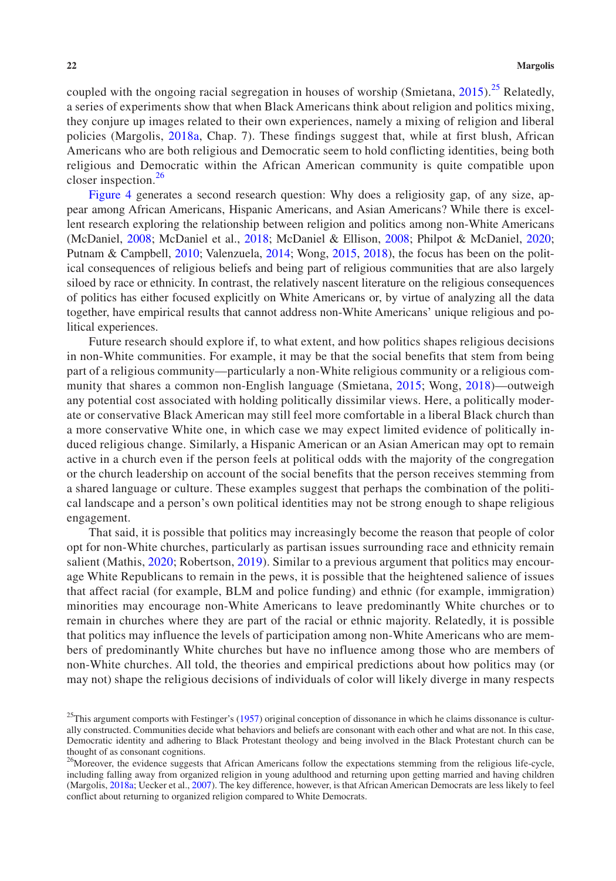coupled with the ongoing racial segregation in houses of worship (Smietana,  $2015$ ).<sup>[25](#page-21-0)</sup> Relatedly, a series of experiments show that when Black Americans think about religion and politics mixing, they conjure up images related to their own experiences, namely a mixing of religion and liberal policies (Margolis, [2018a](#page-27-1), Chap. 7). These findings suggest that, while at first blush, African Americans who are both religious and Democratic seem to hold conflicting identities, being both religious and Democratic within the African American community is quite compatible upon closer inspection. $26$ 

Figure [4](#page-19-0) generates a second research question: Why does a religiosity gap, of any size, appear among African Americans, Hispanic Americans, and Asian Americans? While there is excellent research exploring the relationship between religion and politics among non-White Americans (McDaniel, [2008;](#page-28-24) McDaniel et al., [2018;](#page-28-25) McDaniel & Ellison, [2008](#page-28-1); Philpot & McDaniel, [2020;](#page-28-26) Putnam & Campbell, [2010](#page-28-4); Valenzuela, [2014;](#page-29-8) Wong, [2015](#page-29-9), [2018](#page-29-10)), the focus has been on the political consequences of religious beliefs and being part of religious communities that are also largely siloed by race or ethnicity. In contrast, the relatively nascent literature on the religious consequences of politics has either focused explicitly on White Americans or, by virtue of analyzing all the data together, have empirical results that cannot address non-White Americans' unique religious and political experiences.

Future research should explore if, to what extent, and how politics shapes religious decisions in non-White communities. For example, it may be that the social benefits that stem from being part of a religious community—particularly a non-White religious community or a religious community that shares a common non-English language (Smietana, [2015;](#page-28-23) Wong, [2018\)](#page-29-10)—outweigh any potential cost associated with holding politically dissimilar views. Here, a politically moderate or conservative Black American may still feel more comfortable in a liberal Black church than a more conservative White one, in which case we may expect limited evidence of politically induced religious change. Similarly, a Hispanic American or an Asian American may opt to remain active in a church even if the person feels at political odds with the majority of the congregation or the church leadership on account of the social benefits that the person receives stemming from a shared language or culture. These examples suggest that perhaps the combination of the political landscape and a person's own political identities may not be strong enough to shape religious engagement.

That said, it is possible that politics may increasingly become the reason that people of color opt for non-White churches, particularly as partisan issues surrounding race and ethnicity remain salient (Mathis, [2020;](#page-27-23) Robertson, [2019\)](#page-28-27). Similar to a previous argument that politics may encourage White Republicans to remain in the pews, it is possible that the heightened salience of issues that affect racial (for example, BLM and police funding) and ethnic (for example, immigration) minorities may encourage non-White Americans to leave predominantly White churches or to remain in churches where they are part of the racial or ethnic majority. Relatedly, it is possible that politics may influence the levels of participation among non-White Americans who are members of predominantly White churches but have no influence among those who are members of non-White churches. All told, the theories and empirical predictions about how politics may (or may not) shape the religious decisions of individuals of color will likely diverge in many respects

<span id="page-21-0"></span> $25$ This argument comports with Festinger's [\(1957](#page-26-11)) original conception of dissonance in which he claims dissonance is culturally constructed. Communities decide what behaviors and beliefs are consonant with each other and what are not. In this case, Democratic identity and adhering to Black Protestant theology and being involved in the Black Protestant church can be thought of as consonant cognitions.

<span id="page-21-1"></span> $26$ Moreover, the evidence suggests that African Americans follow the expectations stemming from the religious life-cycle, including falling away from organized religion in young adulthood and returning upon getting married and having children (Margolis, [2018a](#page-27-1); Uecker et al., [2007](#page-29-6)). The key difference, however, is that African American Democrats are less likely to feel conflict about returning to organized religion compared to White Democrats.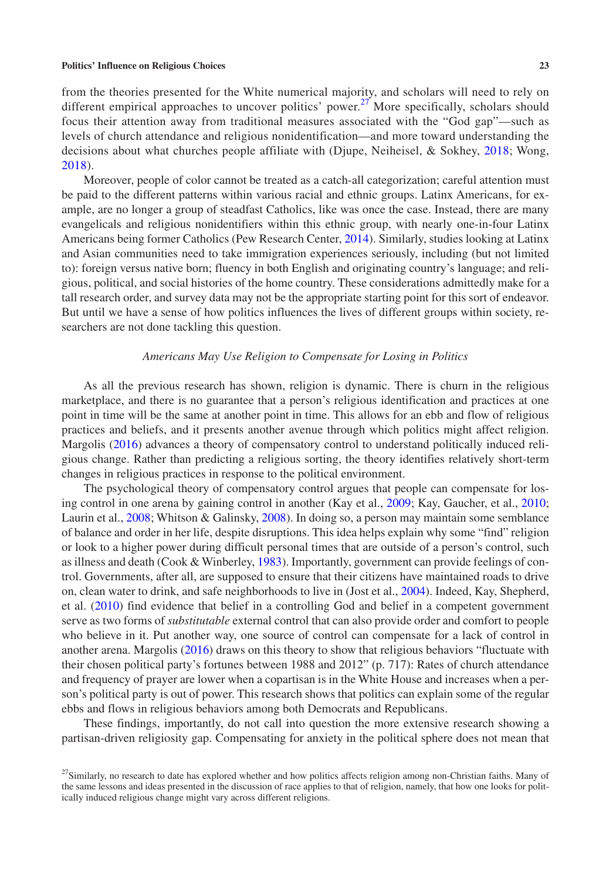from the theories presented for the White numerical majority, and scholars will need to rely on different empirical approaches to uncover politics' power.<sup>[27](#page-22-0)</sup> More specifically, scholars should focus their attention away from traditional measures associated with the "God gap"—such as levels of church attendance and religious nonidentification—and more toward understanding the decisions about what churches people affiliate with (Djupe, Neiheisel, & Sokhey, [2018;](#page-25-7) Wong, [2018](#page-29-10)).

Moreover, people of color cannot be treated as a catch-all categorization; careful attention must be paid to the different patterns within various racial and ethnic groups. Latinx Americans, for example, are no longer a group of steadfast Catholics, like was once the case. Instead, there are many evangelicals and religious nonidentifiers within this ethnic group, with nearly one-in-four Latinx Americans being former Catholics (Pew Research Center, [2014\)](#page-28-28). Similarly, studies looking at Latinx and Asian communities need to take immigration experiences seriously, including (but not limited to): foreign versus native born; fluency in both English and originating country's language; and religious, political, and social histories of the home country. These considerations admittedly make for a tall research order, and survey data may not be the appropriate starting point for this sort of endeavor. But until we have a sense of how politics influences the lives of different groups within society, researchers are not done tackling this question.

## *Americans May Use Religion to Compensate for Losing in Politics*

As all the previous research has shown, religion is dynamic. There is churn in the religious marketplace, and there is no guarantee that a person's religious identification and practices at one point in time will be the same at another point in time. This allows for an ebb and flow of religious practices and beliefs, and it presents another avenue through which politics might affect religion. Margolis ([2016\)](#page-27-20) advances a theory of compensatory control to understand politically induced religious change. Rather than predicting a religious sorting, the theory identifies relatively short-term changes in religious practices in response to the political environment.

The psychological theory of compensatory control argues that people can compensate for losing control in one arena by gaining control in another (Kay et al., [2009](#page-27-24); Kay, Gaucher, et al., [2010;](#page-27-25) Laurin et al., [2008](#page-27-26); Whitson & Galinsky, [2008](#page-29-11)). In doing so, a person may maintain some semblance of balance and order in her life, despite disruptions. This idea helps explain why some "find" religion or look to a higher power during difficult personal times that are outside of a person's control, such as illness and death (Cook & Winberley, [1983\)](#page-25-24). Importantly, government can provide feelings of control. Governments, after all, are supposed to ensure that their citizens have maintained roads to drive on, clean water to drink, and safe neighborhoods to live in (Jost et al., [2004](#page-27-27)). Indeed, Kay, Shepherd, et al. ([2010\)](#page-27-28) find evidence that belief in a controlling God and belief in a competent government serve as two forms of *substitutable* external control that can also provide order and comfort to people who believe in it. Put another way, one source of control can compensate for a lack of control in another arena. Margolis [\(2016](#page-27-20)) draws on this theory to show that religious behaviors "fluctuate with their chosen political party's fortunes between 1988 and 2012" (p. 717): Rates of church attendance and frequency of prayer are lower when a copartisan is in the White House and increases when a person's political party is out of power. This research shows that politics can explain some of the regular ebbs and flows in religious behaviors among both Democrats and Republicans.

These findings, importantly, do not call into question the more extensive research showing a partisan-driven religiosity gap. Compensating for anxiety in the political sphere does not mean that

<span id="page-22-0"></span><sup>&</sup>lt;sup>27</sup>Similarly, no research to date has explored whether and how politics affects religion among non-Christian faiths. Many of the same lessons and ideas presented in the discussion of race applies to that of religion, namely, that how one looks for politically induced religious change might vary across different religions.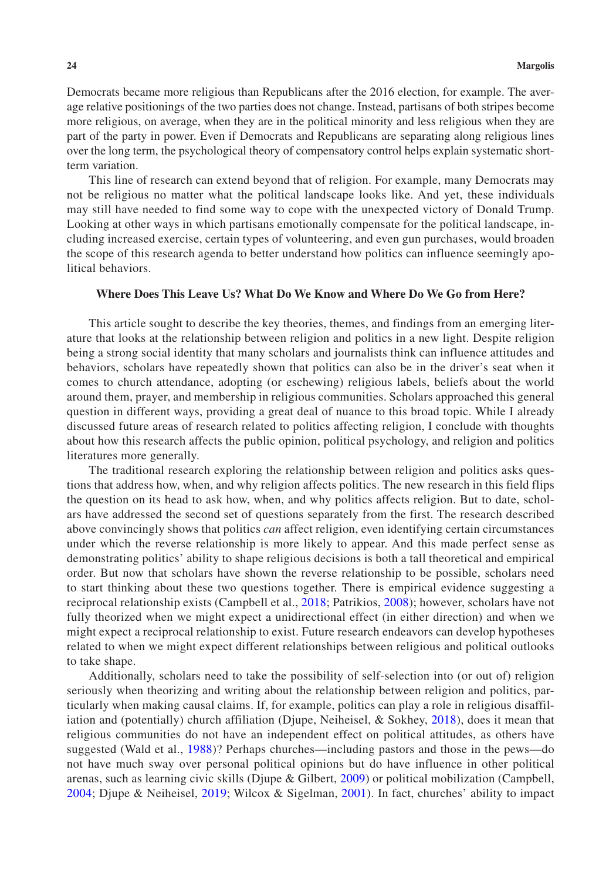Democrats became more religious than Republicans after the 2016 election, for example. The average relative positionings of the two parties does not change. Instead, partisans of both stripes become more religious, on average, when they are in the political minority and less religious when they are part of the party in power. Even if Democrats and Republicans are separating along religious lines over the long term, the psychological theory of compensatory control helps explain systematic shortterm variation.

This line of research can extend beyond that of religion. For example, many Democrats may not be religious no matter what the political landscape looks like. And yet, these individuals may still have needed to find some way to cope with the unexpected victory of Donald Trump. Looking at other ways in which partisans emotionally compensate for the political landscape, including increased exercise, certain types of volunteering, and even gun purchases, would broaden the scope of this research agenda to better understand how politics can influence seemingly apolitical behaviors.

## **Where Does This Leave Us? What Do We Know and Where Do We Go from Here?**

This article sought to describe the key theories, themes, and findings from an emerging literature that looks at the relationship between religion and politics in a new light. Despite religion being a strong social identity that many scholars and journalists think can influence attitudes and behaviors, scholars have repeatedly shown that politics can also be in the driver's seat when it comes to church attendance, adopting (or eschewing) religious labels, beliefs about the world around them, prayer, and membership in religious communities. Scholars approached this general question in different ways, providing a great deal of nuance to this broad topic. While I already discussed future areas of research related to politics affecting religion, I conclude with thoughts about how this research affects the public opinion, political psychology, and religion and politics literatures more generally.

The traditional research exploring the relationship between religion and politics asks questions that address how, when, and why religion affects politics. The new research in this field flips the question on its head to ask how, when, and why politics affects religion. But to date, scholars have addressed the second set of questions separately from the first. The research described above convincingly shows that politics *can* affect religion, even identifying certain circumstances under which the reverse relationship is more likely to appear. And this made perfect sense as demonstrating politics' ability to shape religious decisions is both a tall theoretical and empirical order. But now that scholars have shown the reverse relationship to be possible, scholars need to start thinking about these two questions together. There is empirical evidence suggesting a reciprocal relationship exists (Campbell et al., [2018](#page-25-1); Patrikios, [2008\)](#page-28-5); however, scholars have not fully theorized when we might expect a unidirectional effect (in either direction) and when we might expect a reciprocal relationship to exist. Future research endeavors can develop hypotheses related to when we might expect different relationships between religious and political outlooks to take shape.

Additionally, scholars need to take the possibility of self-selection into (or out of) religion seriously when theorizing and writing about the relationship between religion and politics, particularly when making causal claims. If, for example, politics can play a role in religious disaffiliation and (potentially) church affiliation (Djupe, Neiheisel, & Sokhey, [2018](#page-25-7)), does it mean that religious communities do not have an independent effect on political attitudes, as others have suggested (Wald et al., [1988\)](#page-29-7)? Perhaps churches—including pastors and those in the pews—do not have much sway over personal political opinions but do have influence in other political arenas, such as learning civic skills (Djupe & Gilbert, [2009\)](#page-25-22) or political mobilization (Campbell, [2004](#page-25-25); Djupe & Neiheisel, [2019;](#page-25-26) Wilcox & Sigelman, [2001](#page-29-12)). In fact, churches' ability to impact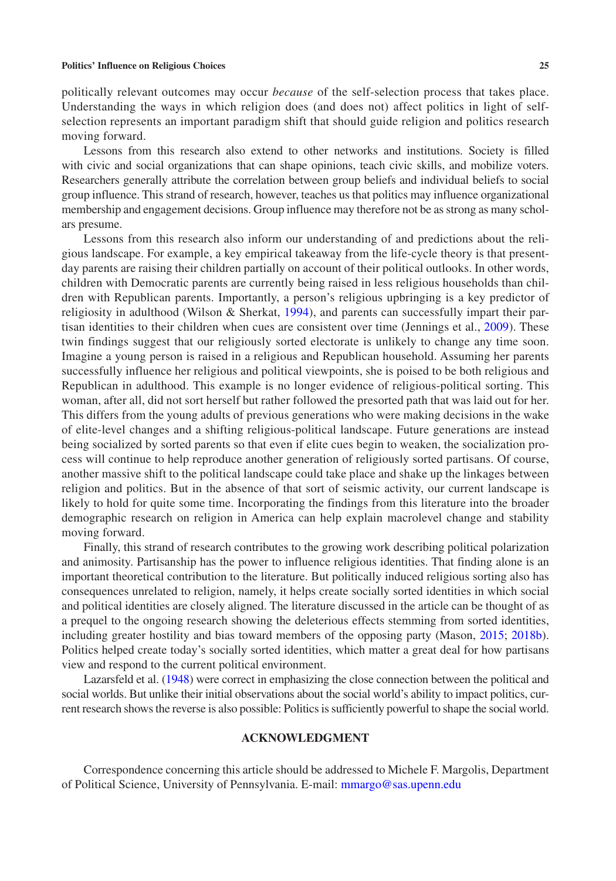politically relevant outcomes may occur *because* of the self-selection process that takes place. Understanding the ways in which religion does (and does not) affect politics in light of selfselection represents an important paradigm shift that should guide religion and politics research moving forward.

Lessons from this research also extend to other networks and institutions. Society is filled with civic and social organizations that can shape opinions, teach civic skills, and mobilize voters. Researchers generally attribute the correlation between group beliefs and individual beliefs to social group influence. This strand of research, however, teaches us that politics may influence organizational membership and engagement decisions. Group influence may therefore not be as strong as many scholars presume.

Lessons from this research also inform our understanding of and predictions about the religious landscape. For example, a key empirical takeaway from the life-cycle theory is that presentday parents are raising their children partially on account of their political outlooks. In other words, children with Democratic parents are currently being raised in less religious households than children with Republican parents. Importantly, a person's religious upbringing is a key predictor of religiosity in adulthood (Wilson & Sherkat, [1994\)](#page-29-1), and parents can successfully impart their partisan identities to their children when cues are consistent over time (Jennings et al., [2009](#page-26-29)). These twin findings suggest that our religiously sorted electorate is unlikely to change any time soon. Imagine a young person is raised in a religious and Republican household. Assuming her parents successfully influence her religious and political viewpoints, she is poised to be both religious and Republican in adulthood. This example is no longer evidence of religious-political sorting. This woman, after all, did not sort herself but rather followed the presorted path that was laid out for her. This differs from the young adults of previous generations who were making decisions in the wake of elite-level changes and a shifting religious-political landscape. Future generations are instead being socialized by sorted parents so that even if elite cues begin to weaken, the socialization process will continue to help reproduce another generation of religiously sorted partisans. Of course, another massive shift to the political landscape could take place and shake up the linkages between religion and politics. But in the absence of that sort of seismic activity, our current landscape is likely to hold for quite some time. Incorporating the findings from this literature into the broader demographic research on religion in America can help explain macrolevel change and stability moving forward.

Finally, this strand of research contributes to the growing work describing political polarization and animosity. Partisanship has the power to influence religious identities. That finding alone is an important theoretical contribution to the literature. But politically induced religious sorting also has consequences unrelated to religion, namely, it helps create socially sorted identities in which social and political identities are closely aligned. The literature discussed in the article can be thought of as a prequel to the ongoing research showing the deleterious effects stemming from sorted identities, including greater hostility and bias toward members of the opposing party (Mason, [2015](#page-27-10); [2018b](#page-27-11)). Politics helped create today's socially sorted identities, which matter a great deal for how partisans view and respond to the current political environment.

Lazarsfeld et al. ([1948\)](#page-27-0) were correct in emphasizing the close connection between the political and social worlds. But unlike their initial observations about the social world's ability to impact politics, current research shows the reverse is also possible: Politics is sufficiently powerful to shape the social world.

## **ACKNOWLEDGMENT**

Correspondence concerning this article should be addressed to Michele F. Margolis, Department of Political Science, University of Pennsylvania. E-mail: [mmargo@sas.upenn.edu](mailto:mmargo@sas.upenn.edu)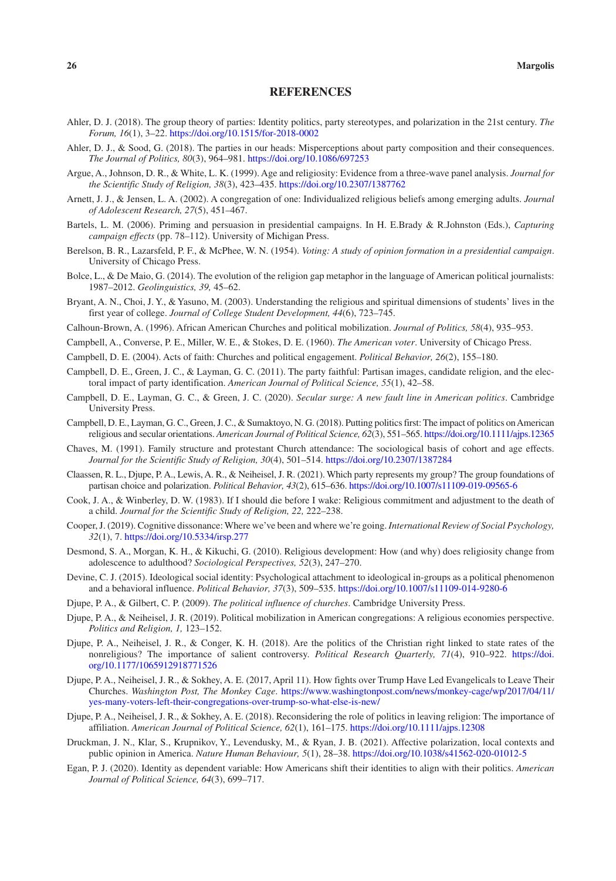## **REFERENCES**

- <span id="page-25-15"></span>Ahler, D. J. (2018). The group theory of parties: Identity politics, party stereotypes, and polarization in the 21st century. *The Forum, 16*(1), 3–22. <https://doi.org/10.1515/for-2018-0002>
- <span id="page-25-16"></span>Ahler, D. J., & Sood, G. (2018). The parties in our heads: Misperceptions about party composition and their consequences. *The Journal of Politics, 80*(3), 964–981. <https://doi.org/10.1086/697253>
- <span id="page-25-10"></span>Argue, A., Johnson, D. R., & White, L. K. (1999). Age and religiosity: Evidence from a three-wave panel analysis. *Journal for the Scientific Study of Religion, 38*(3), 423–435.<https://doi.org/10.2307/1387762>
- <span id="page-25-18"></span>Arnett, J. J., & Jensen, L. A. (2002). A congregation of one: Individualized religious beliefs among emerging adults. *Journal of Adolescent Research, 27*(5), 451–467.
- <span id="page-25-20"></span>Bartels, L. M. (2006). Priming and persuasion in presidential campaigns. In H. E.Brady & R.Johnston (Eds.), *Capturing campaign effects* (pp. 78–112). University of Michigan Press.
- <span id="page-25-8"></span>Berelson, B. R., Lazarsfeld, P. F., & McPhee, W. N. (1954). *Voting: A study of opinion formation in a presidential campaign*. University of Chicago Press.
- <span id="page-25-0"></span>Bolce, L., & De Maio, G. (2014). The evolution of the religion gap metaphor in the language of American political journalists: 1987–2012. *Geolinguistics, 39,* 45–62.
- <span id="page-25-21"></span>Bryant, A. N., Choi, J. Y., & Yasuno, M. (2003). Understanding the religious and spiritual dimensions of students' lives in the first year of college. *Journal of College Student Development, 44*(6), 723–745.
- <span id="page-25-23"></span>Calhoun-Brown, A. (1996). African American Churches and political mobilization. *Journal of Politics, 58*(4), 935–953.
- <span id="page-25-9"></span>Campbell, A., Converse, P. E., Miller, W. E., & Stokes, D. E. (1960). *The American voter*. University of Chicago Press.
- <span id="page-25-25"></span>Campbell, D. E. (2004). Acts of faith: Churches and political engagement. *Political Behavior, 26*(2), 155–180.
- <span id="page-25-3"></span>Campbell, D. E., Green, J. C., & Layman, G. C. (2011). The party faithful: Partisan images, candidate religion, and the electoral impact of party identification. *American Journal of Political Science, 55*(1), 42–58.
- <span id="page-25-2"></span>Campbell, D. E., Layman, G. C., & Green, J. C. (2020). *Secular surge: A new fault line in American politics*. Cambridge University Press.
- <span id="page-25-1"></span>Campbell, D. E., Layman, G. C., Green, J. C., & Sumaktoyo, N. G. (2018). Putting politics first: The impact of politics on American religious and secular orientations. *American Journal of Political Science, 62*(3), 551–565.<https://doi.org/10.1111/ajps.12365>
- <span id="page-25-11"></span>Chaves, M. (1991). Family structure and protestant Church attendance: The sociological basis of cohort and age effects. *Journal for the Scientific Study of Religion, 30*(4), 501–514.<https://doi.org/10.2307/1387284>
- <span id="page-25-4"></span>Claassen, R. L., Djupe, P. A., Lewis, A. R., & Neiheisel, J. R. (2021). Which party represents my group? The group foundations of partisan choice and polarization. *Political Behavior, 43*(2), 615–636. <https://doi.org/10.1007/s11109-019-09565-6>
- <span id="page-25-24"></span>Cook, J. A., & Winberley, D. W. (1983). If I should die before I wake: Religious commitment and adjustment to the death of a child. *Journal for the Scientific Study of Religion, 22,* 222–238.
- <span id="page-25-14"></span>Cooper, J. (2019). Cognitive dissonance: Where we've been and where we're going. *International Review of Social Psychology, 32*(1), 7. <https://doi.org/10.5334/irsp.277>
- <span id="page-25-19"></span>Desmond, S. A., Morgan, K. H., & Kikuchi, G. (2010). Religious development: How (and why) does religiosity change from adolescence to adulthood? *Sociological Perspectives, 52*(3), 247–270.
- <span id="page-25-13"></span>Devine, C. J. (2015). Ideological social identity: Psychological attachment to ideological in-groups as a political phenomenon and a behavioral influence. *Political Behavior, 37*(3), 509–535. <https://doi.org/10.1007/s11109-014-9280-6>
- <span id="page-25-22"></span>Djupe, P. A., & Gilbert, C. P. (2009). *The political influence of churches*. Cambridge University Press.
- <span id="page-25-26"></span>Djupe, P. A., & Neiheisel, J. R. (2019). Political mobilization in American congregations: A religious economies perspective. *Politics and Religion, 1,* 123–152.
- <span id="page-25-12"></span>Djupe, P. A., Neiheisel, J. R., & Conger, K. H. (2018). Are the politics of the Christian right linked to state rates of the nonreligious? The importance of salient controversy. *Political Research Quarterly, 71*(4), 910–922. [https://doi.](https://doi.org/10.1177/1065912918771526) [org/10.1177/1065912918771526](https://doi.org/10.1177/1065912918771526)
- <span id="page-25-6"></span>Djupe, P. A., Neiheisel, J. R., & Sokhey, A. E. (2017, April 11). How fights over Trump Have Led Evangelicals to Leave Their Churches. *Washington Post, The Monkey Cage*. [https://www.washingtonpost.com/news/monkey-cage/wp/2017/04/11/](https://www.washingtonpost.com/news/monkey-cage/wp/2017/04/11/yes-many-voters-left-their-congregations-over-trump-so-what-else-is-new/) [yes-many-voters-left-their-congregations-over-trump-so-what-else-is-new/](https://www.washingtonpost.com/news/monkey-cage/wp/2017/04/11/yes-many-voters-left-their-congregations-over-trump-so-what-else-is-new/)
- <span id="page-25-7"></span>Djupe, P. A., Neiheisel, J. R., & Sokhey, A. E. (2018). Reconsidering the role of politics in leaving religion: The importance of affiliation. *American Journal of Political Science, 62*(1), 161–175. <https://doi.org/10.1111/ajps.12308>
- <span id="page-25-17"></span>Druckman, J. N., Klar, S., Krupnikov, Y., Levendusky, M., & Ryan, J. B. (2021). Affective polarization, local contexts and public opinion in America. *Nature Human Behaviour, 5*(1), 28–38. <https://doi.org/10.1038/s41562-020-01012-5>
- <span id="page-25-5"></span>Egan, P. J. (2020). Identity as dependent variable: How Americans shift their identities to align with their politics. *American Journal of Political Science, 64*(3), 699–717.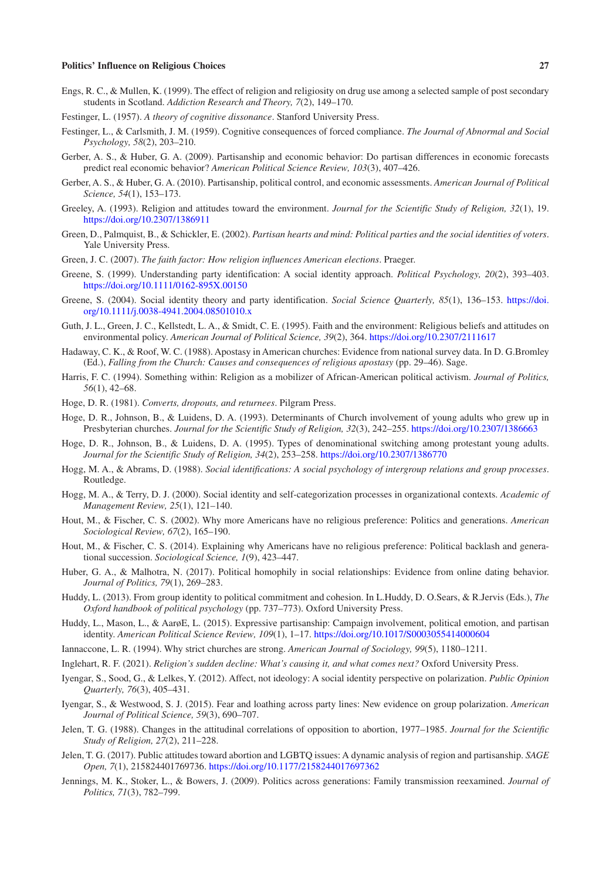- <span id="page-26-26"></span>Engs, R. C., & Mullen, K. (1999). The effect of religion and religiosity on drug use among a selected sample of post secondary students in Scotland. *Addiction Research and Theory, 7*(2), 149–170.
- <span id="page-26-11"></span>Festinger, L. (1957). *A theory of cognitive dissonance*. Stanford University Press.
- <span id="page-26-23"></span>Festinger, L., & Carlsmith, J. M. (1959). Cognitive consequences of forced compliance. *The Journal of Abnormal and Social Psychology, 58*(2), 203–210.
- <span id="page-26-16"></span>Gerber, A. S., & Huber, G. A. (2009). Partisanship and economic behavior: Do partisan differences in economic forecasts predict real economic behavior? *American Political Science Review, 103*(3), 407–426.
- <span id="page-26-17"></span>Gerber, A. S., & Huber, G. A. (2010). Partisanship, political control, and economic assessments. *American Journal of Political Science, 54*(1), 153–173.
- <span id="page-26-2"></span>Greeley, A. (1993). Religion and attitudes toward the environment. *Journal for the Scientific Study of Religion, 32*(1), 19. <https://doi.org/10.2307/1386911>
- <span id="page-26-12"></span>Green, D., Palmquist, B., & Schickler, E. (2002). *Partisan hearts and mind: Political parties and the social identities of voters*. Yale University Press.
- <span id="page-26-0"></span>Green, J. C. (2007). *The faith factor: How religion influences American elections*. Praeger.
- <span id="page-26-13"></span>Greene, S. (1999). Understanding party identification: A social identity approach. *Political Psychology, 20*(2), 393–403. <https://doi.org/10.1111/0162-895X.00150>
- <span id="page-26-14"></span>Greene, S. (2004). Social identity theory and party identification. *Social Science Quarterly, 85*(1), 136–153. [https://doi.](https://doi.org/10.1111/j.0038-4941.2004.08501010.x) [org/10.1111/j.0038-4941.2004.08501010.x](https://doi.org/10.1111/j.0038-4941.2004.08501010.x)
- <span id="page-26-3"></span>Guth, J. L., Green, J. C., Kellstedt, L. A., & Smidt, C. E. (1995). Faith and the environment: Religious beliefs and attitudes on environmental policy. *American Journal of Political Science, 39*(2), 364.<https://doi.org/10.2307/2111617>
- <span id="page-26-8"></span>Hadaway, C. K., & Roof, W. C. (1988). Apostasy in American churches: Evidence from national survey data. In D. G.Bromley (Ed.), *Falling from the Church: Causes and consequences of religious apostasy* (pp. 29–46). Sage.
- <span id="page-26-28"></span>Harris, F. C. (1994). Something within: Religion as a mobilizer of African-American political activism. *Journal of Politics, 56*(1), 42–68.
- <span id="page-26-25"></span>Hoge, D. R. (1981). *Converts, dropouts, and returnees*. Pilgram Press.
- <span id="page-26-9"></span>Hoge, D. R., Johnson, B., & Luidens, D. A. (1993). Determinants of Church involvement of young adults who grew up in Presbyterian churches. *Journal for the Scientific Study of Religion, 32*(3), 242–255. <https://doi.org/10.2307/1386663>
- <span id="page-26-10"></span>Hoge, D. R., Johnson, B., & Luidens, D. A. (1995). Types of denominational switching among protestant young adults. *Journal for the Scientific Study of Religion, 34*(2), 253–258.<https://doi.org/10.2307/1386770>
- <span id="page-26-20"></span>Hogg, M. A., & Abrams, D. (1988). *Social identifications: A social psychology of intergroup relations and group processes*. Routledge.
- <span id="page-26-21"></span>Hogg, M. A., & Terry, D. J. (2000). Social identity and self-categorization processes in organizational contexts. *Academic of Management Review, 25*(1), 121–140.
- <span id="page-26-1"></span>Hout, M., & Fischer, C. S. (2002). Why more Americans have no religious preference: Politics and generations. *American Sociological Review, 67*(2), 165–190.
- <span id="page-26-7"></span>Hout, M., & Fischer, C. S. (2014). Explaining why Americans have no religious preference: Political backlash and generational succession. *Sociological Science, 1*(9), 423–447.
- <span id="page-26-18"></span>Huber, G. A., & Malhotra, N. (2017). Political homophily in social relationships: Evidence from online dating behavior. *Journal of Politics, 79*(1), 269–283.
- <span id="page-26-24"></span>Huddy, L. (2013). From group identity to political commitment and cohesion. In L.Huddy, D. O.Sears, & R.Jervis (Eds.), *The Oxford handbook of political psychology* (pp. 737–773). Oxford University Press.
- <span id="page-26-15"></span>Huddy, L., Mason, L., & AarøE, L. (2015). Expressive partisanship: Campaign involvement, political emotion, and partisan identity. *American Political Science Review, 109*(1), 1–17. <https://doi.org/10.1017/S0003055414000604>
- <span id="page-26-6"></span>Iannaccone, L. R. (1994). Why strict churches are strong. *American Journal of Sociology, 99*(5), 1180–1211.
- <span id="page-26-27"></span>Inglehart, R. F. (2021). *Religion's sudden decline: What's causing it, and what comes next?* Oxford University Press.
- <span id="page-26-22"></span>Iyengar, S., Sood, G., & Lelkes, Y. (2012). Affect, not ideology: A social identity perspective on polarization. *Public Opinion Quarterly, 76*(3), 405–431.
- <span id="page-26-19"></span>Iyengar, S., & Westwood, S. J. (2015). Fear and loathing across party lines: New evidence on group polarization. *American Journal of Political Science, 59*(3), 690–707.
- <span id="page-26-4"></span>Jelen, T. G. (1988). Changes in the attitudinal correlations of opposition to abortion, 1977–1985. *Journal for the Scientific Study of Religion, 27*(2), 211–228.
- <span id="page-26-5"></span>Jelen, T. G. (2017). Public attitudes toward abortion and LGBTQ issues: A dynamic analysis of region and partisanship. *SAGE Open, 7*(1), 215824401769736.<https://doi.org/10.1177/2158244017697362>
- <span id="page-26-29"></span>Jennings, M. K., Stoker, L., & Bowers, J. (2009). Politics across generations: Family transmission reexamined. *Journal of Politics, 71*(3), 782–799.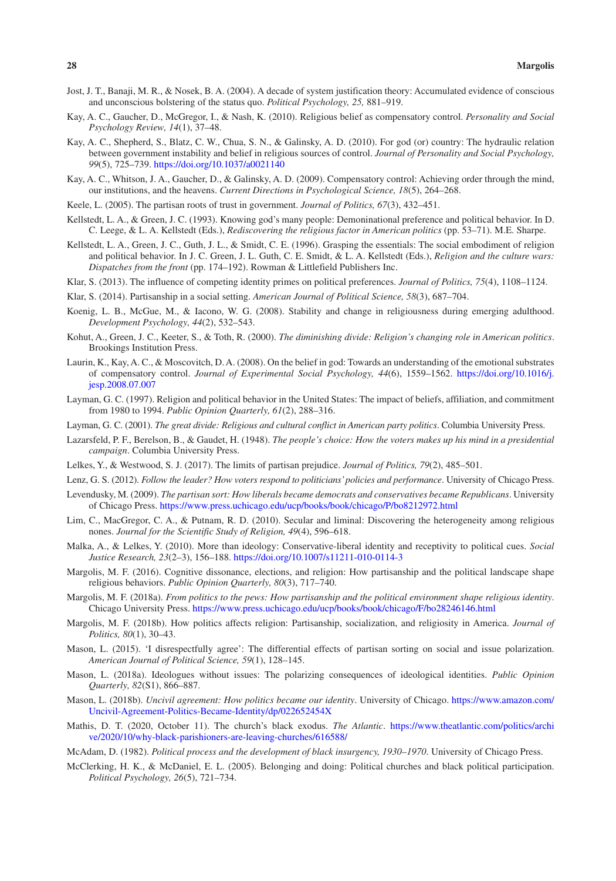- <span id="page-27-27"></span>Jost, J. T., Banaji, M. R., & Nosek, B. A. (2004). A decade of system justification theory: Accumulated evidence of conscious and unconscious bolstering of the status quo. *Political Psychology, 25,* 881–919.
- <span id="page-27-25"></span>Kay, A. C., Gaucher, D., McGregor, I., & Nash, K. (2010). Religious belief as compensatory control. *Personality and Social Psychology Review, 14*(1), 37–48.
- <span id="page-27-28"></span>Kay, A. C., Shepherd, S., Blatz, C. W., Chua, S. N., & Galinsky, A. D. (2010). For god (or) country: The hydraulic relation between government instability and belief in religious sources of control. *Journal of Personality and Social Psychology, 99*(5), 725–739. <https://doi.org/10.1037/a0021140>
- <span id="page-27-24"></span>Kay, A. C., Whitson, J. A., Gaucher, D., & Galinsky, A. D. (2009). Compensatory control: Achieving order through the mind, our institutions, and the heavens. *Current Directions in Psychological Science, 18*(5), 264–268.
- <span id="page-27-17"></span>Keele, L. (2005). The partisan roots of trust in government. *Journal of Politics, 67*(3), 432–451.
- <span id="page-27-3"></span>Kellstedt, L. A., & Green, J. C. (1993). Knowing god's many people: Demoninational preference and political behavior. In D. C. Leege, & L. A. Kellstedt (Eds.), *Rediscovering the religious factor in American politics* (pp. 53–71). M.E. Sharpe.
- <span id="page-27-2"></span>Kellstedt, L. A., Green, J. C., Guth, J. L., & Smidt, C. E. (1996). Grasping the essentials: The social embodiment of religion and political behavior. In J. C. Green, J. L. Guth, C. E. Smidt, & L. A. Kellstedt (Eds.), *Religion and the culture wars: Dispatches from the front* (pp. 174–192). Rowman & Littlefield Publishers Inc.
- <span id="page-27-14"></span>Klar, S. (2013). The influence of competing identity primes on political preferences. *Journal of Politics, 75*(4), 1108–1124.
- <span id="page-27-15"></span>Klar, S. (2014). Partisanship in a social setting. *American Journal of Political Science, 58*(3), 687–704.
- <span id="page-27-16"></span>Koenig, L. B., McGue, M., & Iacono, W. G. (2008). Stability and change in religiousness during emerging adulthood. *Development Psychology, 44*(2), 532–543.
- <span id="page-27-4"></span>Kohut, A., Green, J. C., Keeter, S., & Toth, R. (2000). *The diminishing divide: Religion's changing role in American politics*. Brookings Institution Press.
- <span id="page-27-26"></span>Laurin, K., Kay, A. C., & Moscovitch, D. A. (2008). On the belief in god: Towards an understanding of the emotional substrates of compensatory control. *Journal of Experimental Social Psychology, 44*(6), 1559–1562. [https://doi.org/10.1016/j.](https://doi.org/10.1016/j.jesp.2008.07.007) [jesp.2008.07.007](https://doi.org/10.1016/j.jesp.2008.07.007)
- <span id="page-27-5"></span>Layman, G. C. (1997). Religion and political behavior in the United States: The impact of beliefs, affiliation, and commitment from 1980 to 1994. *Public Opinion Quarterly, 61*(2), 288–316.
- <span id="page-27-18"></span>Layman, G. C. (2001). *The great divide: Religious and cultural conflict in American party politics*. Columbia University Press.
- <span id="page-27-0"></span>Lazarsfeld, P. F., Berelson, B., & Gaudet, H. (1948). *The people's choice: How the voters makes up his mind in a presidential campaign*. Columbia University Press.
- <span id="page-27-9"></span>Lelkes, Y., & Westwood, S. J. (2017). The limits of partisan prejudice. *Journal of Politics, 79*(2), 485–501.
- <span id="page-27-7"></span>Lenz, G. S. (2012). *Follow the leader? How voters respond to politicians' policies and performance*. University of Chicago Press.
- <span id="page-27-8"></span>Levendusky, M. (2009). *The partisan sort: How liberals became democrats and conservatives became Republicans*. University of Chicago Press. <https://www.press.uchicago.edu/ucp/books/book/chicago/P/bo8212972.html>
- <span id="page-27-19"></span>Lim, C., MacGregor, C. A., & Putnam, R. D. (2010). Secular and liminal: Discovering the heterogeneity among religious nones. *Journal for the Scientific Study of Religion, 49*(4), 596–618.
- <span id="page-27-12"></span>Malka, A., & Lelkes, Y. (2010). More than ideology: Conservative-liberal identity and receptivity to political cues. *Social Justice Research, 23*(2–3), 156–188.<https://doi.org/10.1007/s11211-010-0114-3>
- <span id="page-27-20"></span>Margolis, M. F. (2016). Cognitive dissonance, elections, and religion: How partisanship and the political landscape shape religious behaviors. *Public Opinion Quarterly, 80*(3), 717–740.
- <span id="page-27-1"></span>Margolis, M. F. (2018a). *From politics to the pews: How partisanship and the political environment shape religious identity*. Chicago University Press. <https://www.press.uchicago.edu/ucp/books/book/chicago/F/bo28246146.html>
- <span id="page-27-6"></span>Margolis, M. F. (2018b). How politics affects religion: Partisanship, socialization, and religiosity in America. *Journal of Politics, 80*(1), 30–43.
- <span id="page-27-10"></span>Mason, L. (2015). 'I disrespectfully agree': The differential effects of partisan sorting on social and issue polarization. *American Journal of Political Science, 59*(1), 128–145.
- <span id="page-27-13"></span>Mason, L. (2018a). Ideologues without issues: The polarizing consequences of ideological identities. *Public Opinion Quarterly, 82*(S1), 866–887.
- <span id="page-27-11"></span>Mason, L. (2018b). *Uncivil agreement: How politics became our identity*. University of Chicago. [https://www.amazon.com/](https://www.amazon.com/Uncivil-Agreement-Politics-Became-Identity/dp/022652454X) [Uncivil-Agreement-Politics-Became-Identity/dp/022652454X](https://www.amazon.com/Uncivil-Agreement-Politics-Became-Identity/dp/022652454X)
- <span id="page-27-23"></span>Mathis, D. T. (2020, October 11). The church's black exodus. *The Atlantic*. [https://www.theatlantic.com/politics/archi](https://www.theatlantic.com/politics/archive/2020/10/why-black-parishioners-are-leaving-churches/616588/) [ve/2020/10/why-black-parishioners-are-leaving-churches/616588/](https://www.theatlantic.com/politics/archive/2020/10/why-black-parishioners-are-leaving-churches/616588/)
- <span id="page-27-21"></span>McAdam, D. (1982). *Political process and the development of black insurgency, 1930–1970*. University of Chicago Press.
- <span id="page-27-22"></span>McClerking, H. K., & McDaniel, E. L. (2005). Belonging and doing: Political churches and black political participation. *Political Psychology, 26*(5), 721–734.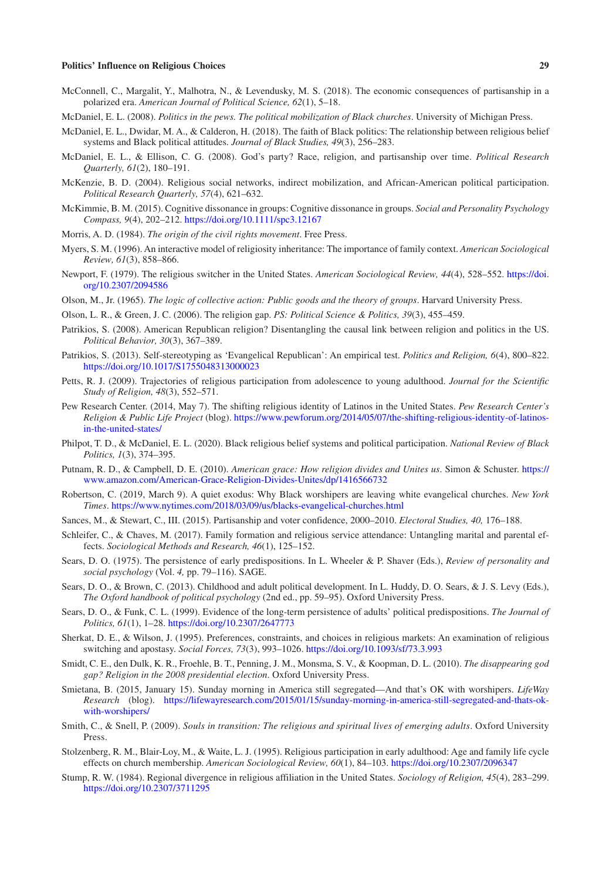- <span id="page-28-12"></span>McConnell, C., Margalit, Y., Malhotra, N., & Levendusky, M. S. (2018). The economic consequences of partisanship in a polarized era. *American Journal of Political Science, 62*(1), 5–18.
- <span id="page-28-24"></span>McDaniel, E. L. (2008). *Politics in the pews. The political mobilization of Black churches*. University of Michigan Press.
- <span id="page-28-25"></span>McDaniel, E. L., Dwidar, M. A., & Calderon, H. (2018). The faith of Black politics: The relationship between religious belief systems and Black political attitudes. *Journal of Black Studies, 49*(3), 256–283.
- <span id="page-28-1"></span>McDaniel, E. L., & Ellison, C. G. (2008). God's party? Race, religion, and partisanship over time. *Political Research Quarterly, 61*(2), 180–191.
- <span id="page-28-21"></span>McKenzie, B. D. (2004). Religious social networks, indirect mobilization, and African-American political participation. *Political Research Quarterly, 57*(4), 621–632.
- <span id="page-28-13"></span>McKimmie, B. M. (2015). Cognitive dissonance in groups: Cognitive dissonance in groups. *Social and Personality Psychology Compass, 9*(4), 202–212.<https://doi.org/10.1111/spc3.12167>
- <span id="page-28-22"></span>Morris, A. D. (1984). *The origin of the civil rights movement*. Free Press.
- <span id="page-28-14"></span>Myers, S. M. (1996). An interactive model of religiosity inheritance: The importance of family context. *American Sociological Review, 61*(3), 858–866.
- <span id="page-28-6"></span>Newport, F. (1979). The religious switcher in the United States. *American Sociological Review, 44*(4), 528–552. [https://doi.](https://doi.org/10.2307/2094586) [org/10.2307/2094586](https://doi.org/10.2307/2094586)
- <span id="page-28-20"></span>Olson, M., Jr. (1965). *The logic of collective action: Public goods and the theory of groups*. Harvard University Press.
- <span id="page-28-2"></span>Olson, L. R., & Green, J. C. (2006). The religion gap. *PS: Political Science & Politics, 39*(3), 455–459.
- <span id="page-28-5"></span>Patrikios, S. (2008). American Republican religion? Disentangling the causal link between religion and politics in the US. *Political Behavior, 30*(3), 367–389.
- <span id="page-28-0"></span>Patrikios, S. (2013). Self-stereotyping as 'Evangelical Republican': An empirical test. *Politics and Religion, 6*(4), 800–822. <https://doi.org/10.1017/S1755048313000023>
- <span id="page-28-15"></span>Petts, R. J. (2009). Trajectories of religious participation from adolescence to young adulthood. *Journal for the Scientific Study of Religion, 48*(3), 552–571.
- <span id="page-28-28"></span>Pew Research Center. (2014, May 7). The shifting religious identity of Latinos in the United States. *Pew Research Center's Religion & Public Life Project* (blog). [https://www.pewforum.org/2014/05/07/the-shifting-religious-identity-of-latinos](https://www.pewforum.org/2014/05/07/the-shifting-religious-identity-of-latinos-in-the-united-states/)[in-the-united-states/](https://www.pewforum.org/2014/05/07/the-shifting-religious-identity-of-latinos-in-the-united-states/)
- <span id="page-28-26"></span>Philpot, T. D., & McDaniel, E. L. (2020). Black religious belief systems and political participation. *National Review of Black Politics, 1*(3), 374–395.
- <span id="page-28-4"></span>Putnam, R. D., & Campbell, D. E. (2010). *American grace: How religion divides and Unites us*. Simon & Schuster. [https://](https://www.amazon.com/American-Grace-Religion-Divides-Unites/dp/1416566732) [www.amazon.com/American-Grace-Religion-Divides-Unites/dp/1416566732](https://www.amazon.com/American-Grace-Religion-Divides-Unites/dp/1416566732)
- <span id="page-28-27"></span>Robertson, C. (2019, March 9). A quiet exodus: Why Black worshipers are leaving white evangelical churches. *New York Times*.<https://www.nytimes.com/2018/03/09/us/blacks-evangelical-churches.html>
- <span id="page-28-19"></span>Sances, M., & Stewart, C., III. (2015). Partisanship and voter confidence, 2000–2010. *Electoral Studies, 40,* 176–188.
- <span id="page-28-7"></span>Schleifer, C., & Chaves, M. (2017). Family formation and religious service attendance: Untangling marital and parental effects. *Sociological Methods and Research, 46*(1), 125–152.
- <span id="page-28-16"></span>Sears, D. O. (1975). The persistence of early predispositions. In L. Wheeler & P. Shaver (Eds.), *Review of personality and social psychology* (Vol. *4,* pp. 79–116). SAGE.
- <span id="page-28-17"></span>Sears, D. O., & Brown, C. (2013). Childhood and adult political development. In L. Huddy, D. O. Sears, & J. S. Levy (Eds.), *The Oxford handbook of political psychology* (2nd ed., pp. 59–95). Oxford University Press.
- <span id="page-28-18"></span>Sears, D. O., & Funk, C. L. (1999). Evidence of the long-term persistence of adults' political predispositions. *The Journal of Politics, 61*(1), 1–28. <https://doi.org/10.2307/2647773>
- <span id="page-28-8"></span>Sherkat, D. E., & Wilson, J. (1995). Preferences, constraints, and choices in religious markets: An examination of religious switching and apostasy. *Social Forces, 73*(3), 993–1026.<https://doi.org/10.1093/sf/73.3.993>
- <span id="page-28-3"></span>Smidt, C. E., den Dulk, K. R., Froehle, B. T., Penning, J. M., Monsma, S. V., & Koopman, D. L. (2010). *The disappearing god gap? Religion in the 2008 presidential election*. Oxford University Press.
- <span id="page-28-23"></span>Smietana, B. (2015, January 15). Sunday morning in America still segregated—And that's OK with worshipers. *LifeWay Research* (blog). [https://lifewayresearch.com/2015/01/15/sunday-morning-in-america-still-segregated-and-thats-ok](https://lifewayresearch.com/2015/01/15/sunday-morning-in-america-still-segregated-and-thats-ok-with-worshipers/)[with-worshipers/](https://lifewayresearch.com/2015/01/15/sunday-morning-in-america-still-segregated-and-thats-ok-with-worshipers/)
- <span id="page-28-9"></span>Smith, C., & Snell, P. (2009). *Souls in transition: The religious and spiritual lives of emerging adults*. Oxford University Press.
- <span id="page-28-10"></span>Stolzenberg, R. M., Blair-Loy, M., & Waite, L. J. (1995). Religious participation in early adulthood: Age and family life cycle effects on church membership. *American Sociological Review, 60*(1), 84–103.<https://doi.org/10.2307/2096347>
- <span id="page-28-11"></span>Stump, R. W. (1984). Regional divergence in religious affiliation in the United States. *Sociology of Religion, 45*(4), 283–299. <https://doi.org/10.2307/3711295>